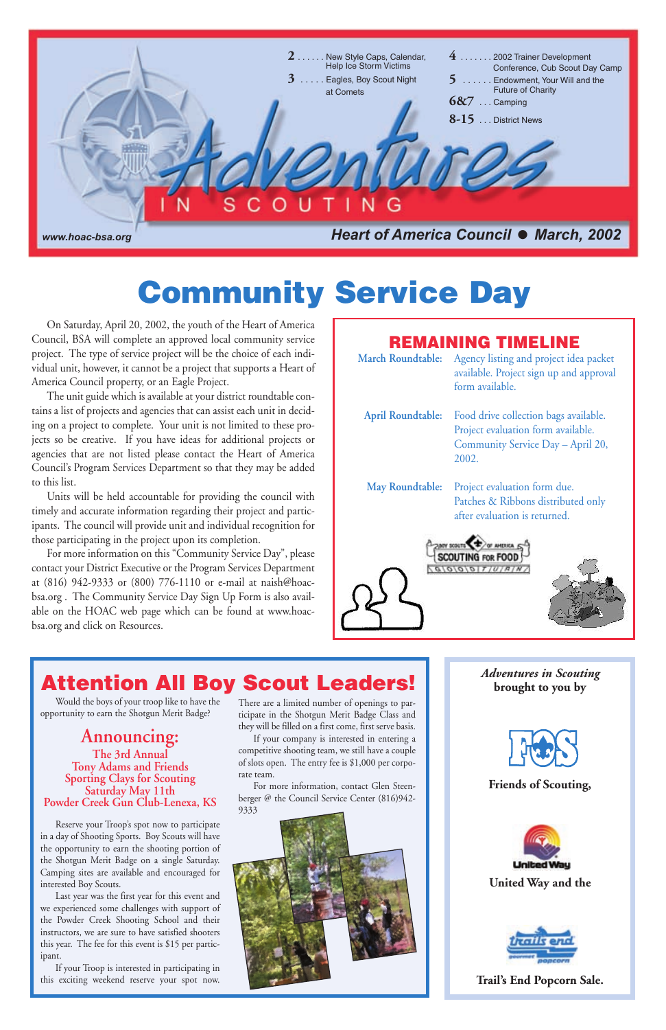

*Adventures in Scouting* **brought to you by**



#### **Friends of Scouting,**



#### **United Way and the**



#### **Trail's End Popcorn Sale.**



# **Attention All Boy Scout Leaders!**

Would the boys of your troop like to have the opportunity to earn the Shotgun Merit Badge?

**Announcing: The 3rd Annual Tony Adams and Friends Sporting Clays for Scouting Saturday May 11th Powder Creek Gun Club-Lenexa, KS**

Reserve your Troop's spot now to participate in a day of Shooting Sports. Boy Scouts will have the opportunity to earn the shooting portion of the Shotgun Merit Badge on a single Saturday. Camping sites are available and encouraged for interested Boy Scouts.

Last year was the first year for this event and we experienced some challenges with support of the Powder Creek Shooting School and their instructors, we are sure to have satisfied shooters this year. The fee for this event is \$15 per participant.

If your Troop is interested in participating in this exciting weekend reserve your spot now.

On Saturday, April 20, 2002, the youth of the Heart of America Council, BSA will complete an approved local community service project. The type of service project will be the choice of each individual unit, however, it cannot be a project that supports a Heart of America Council property, or an Eagle Project.

**March Roundtable:** Agency listing and project idea packet available. Project sign up and approval form available. **April Roundtable:** Food drive collection bags available. Project evaluation form available. Community Service Day – April 20, 2002. Project evaluation form due. **May Roundtable:** Patches & Ribbons distributed only after evaluation is returned.**SCOUTING FOR FOOD**  $G/G/G/GT/J/JH/N$ 

The unit guide which is available at your district roundtable contains a list of projects and agencies that can assist each unit in deciding on a project to complete. Your unit is not limited to these projects so be creative. If you have ideas for additional projects or agencies that are not listed please contact the Heart of America Council's Program Services Department so that they may be added to this list.

Units will be held accountable for providing the council with timely and accurate information regarding their project and participants. The council will provide unit and individual recognition for those participating in the project upon its completion.

For more information on this "Community Service Day", please contact your District Executive or the Program Services Department at (816) 942-9333 or (800) 776-1110 or e-mail at naish@hoacbsa.org . The Community Service Day Sign Up Form is also available on the HOAC web page which can be found at www.hoacbsa.org and click on Resources.

> There are a limited number of openings to participate in the Shotgun Merit Badge Class and they will be filled on a first come, first serve basis.

> If your company is interested in entering a competitive shooting team, we still have a couple

> of slots open. The entry fee is \$1,000 per corporate team.

For more information, contact Glen Steenberger @ the Council Service Center (816)942- 9333



# **Community Service Day**

## **REMAINING TIMELINE**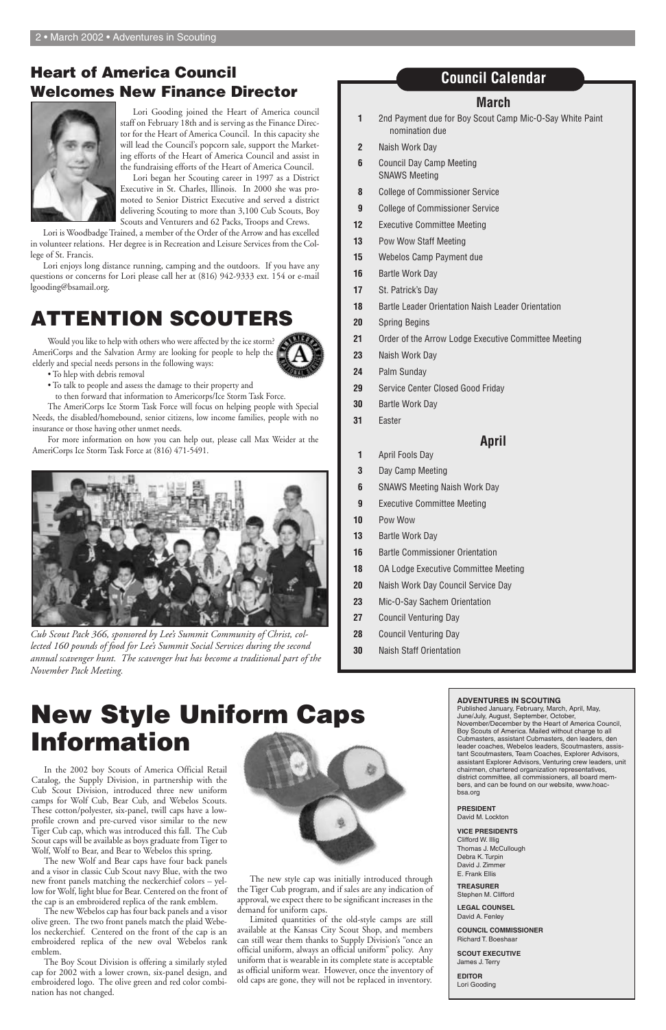#### **March**

- **1** 2nd Payment due for Boy Scout Camp Mic-O-Say White Paint nomination due
- **2** Naish Work Day
- **6** Council Day Camp Meeting SNAWS Meeting
- **8** College of Commissioner Service
- **9** College of Commissioner Service
- **12** Executive Committee Meeting
- **13** Pow Wow Staff Meeting
- **15** Webelos Camp Payment due
- **16** Bartle Work Day
- **17** St. Patrick's Day
- **18** Bartle Leader Orientation Naish Leader Orientation
- **20** Spring Begins
- **21** Order of the Arrow Lodge Executive Committee Meeting
- **23** Naish Work Day
- **24** Palm Sunday
- **29** Service Center Closed Good Friday
- **30** Bartle Work Day
- **31** Easter

#### **April**

- **1** April Fools Day
- **3** Day Camp Meeting
- **6** SNAWS Meeting Naish Work Day
- **9** Executive Committee Meeting
- **10** Pow Wow
- **13** Bartle Work Day
- **16** Bartle Commissioner Orientation
- **18** OA Lodge Executive Committee Meeting
- **20** Naish Work Day Council Service Day
- **23** Mic-O-Say Sachem Orientation
- **27** Council Venturing Day
- **28** Council Venturing Day
- **30** Naish Staff Orientation

## **Council Calendar**

In the 2002 boy Scouts of America Official Retail Catalog, the Supply Division, in partnership with the Cub Scout Division, introduced three new uniform camps for Wolf Cub, Bear Cub, and Webelos Scouts. These cotton/polyester, six-panel, twill caps have a lowprofile crown and pre-curved visor similar to the new Tiger Cub cap, which was introduced this fall. The Cub Scout caps will be available as boys graduate from Tiger to Wolf, Wolf to Bear, and Bear to Webelos this spring.

The new Wolf and Bear caps have four back panels and a visor in classic Cub Scout navy Blue, with the two new front panels matching the neckerchief colors – yellow for Wolf, light blue for Bear. Centered on the front of the cap is an embroidered replica of the rank emblem.

The new Webelos cap has four back panels and a visor olive green. The two front panels match the plaid Webelos neckerchief. Centered on the front of the cap is an embroidered replica of the new oval Webelos rank emblem.

The Boy Scout Division is offering a similarly styled cap for 2002 with a lower crown, six-panel design, and embroidered logo. The olive green and red color combination has not changed.



The new style cap was initially introduced through the Tiger Cub program, and if sales are any indication of approval, we expect there to be significant increases in the demand for uniform caps.

Limited quantities of the old-style camps are still available at the Kansas City Scout Shop, and members can still wear them thanks to Supply Division's "once an official uniform, always an official uniform" policy. Any uniform that is wearable in its complete state is acceptable as official uniform wear. However, once the inventory of old caps are gone, they will not be replaced in inventory.

Lori Gooding joined the Heart of America council staff on February 18th and is serving as the Finance Director for the Heart of America Council. In this capacity she will lead the Council's popcorn sale, support the Marketing efforts of the Heart of America Council and assist in the fundraising efforts of the Heart of America Council.

Lori began her Scouting career in 1997 as a District Executive in St. Charles, Illinois. In 2000 she was promoted to Senior District Executive and served a district delivering Scouting to more than 3,100 Cub Scouts, Boy Scouts and Venturers and 62 Packs, Troops and Crews.

Lori is Woodbadge Trained, a member of the Order of the Arrow and has excelled in volunteer relations. Her degree is in Recreation and Leisure Services from the College of St. Francis.

Lori enjoys long distance running, camping and the outdoors. If you have any questions or concerns for Lori please call her at (816) 942-9333 ext. 154 or e-mail lgooding@bsamail.org.

# **New Style Uniform Caps Information**

## **Heart of America Council Welcomes New Finance Director**



Would you like to help with others who were affected by the ice storm? AmeriCorps and the Salvation Army are looking for people to help the elderly and special needs persons in the following ways:



• To hlep with debris removal

• To talk to people and assess the damage to their property and to then forward that information to Americorps/Ice Storm Task Force.

The AmeriCorps Ice Storm Task Force will focus on helping people with Special Needs, the disabled/homebound, senior citizens, low income families, people with no insurance or those having other unmet needs.

For more information on how you can help out, please call Max Weider at the AmeriCorps Ice Storm Task Force at (816) 471-5491.

#### **ADVENTURES IN SCOUTING**

Published January, February, March, April, May, June/July, August, September, October, November/December by the Heart of America Council, Boy Scouts of America. Mailed without charge to all Cubmasters, assistant Cubmasters, den leaders, den leader coaches, Webelos leaders, Scoutmasters, assistant Scoutmasters, Team Coaches, Explorer Advisors, assistant Explorer Advisors, Venturing crew leaders, unit chairmen, chartered organization representatives, district committee, all commissioners, all board members, and can be found on our website, www.hoacbsa.org

#### **PRESIDENT** David M. Lockton

#### **VICE PRESIDENTS**

Clifford W. Illig Thomas J. McCullough Debra K. Turpin David J. Zimmer E. Frank Ellis

**TREASURER** Stephen M. Clifford

**LEGAL COUNSEL** David A. Fenley

**COUNCIL COMMISSIONER** Richard T. Boeshaar

**SCOUT EXECUTIVE** James J. Terry

**EDITOR** Lori Gooding

# **ATTENTION SCOUTERS**



*Cub Scout Pack 366, sponsored by Lee's Summit Community of Christ, collected 160 pounds of food for Lee's Summit Social Services during the second annual scavenger hunt. The scavenger hut has become a traditional part of the November Pack Meeting.*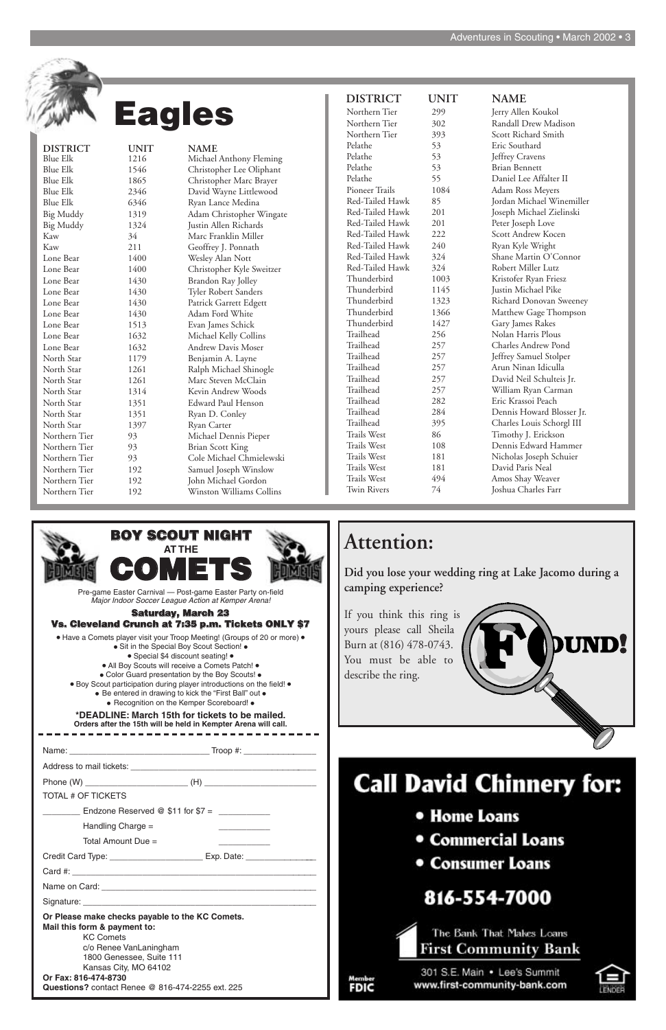Name: \_\_\_\_\_\_\_\_\_\_\_\_\_\_\_\_\_\_\_\_\_\_\_\_\_\_\_\_\_\_ Troop #: \_\_\_\_\_\_\_\_\_\_\_\_\_\_\_

|                                                                                  | <b>Call David Chinnery</b>             |
|----------------------------------------------------------------------------------|----------------------------------------|
| <b>TOTAL # OF TICKETS</b>                                                        |                                        |
| Endzone Reserved @ $$11$ for $$7 =$                                              | • Home Loans                           |
| Handling Charge $=$                                                              |                                        |
| Total Amount Due $=$                                                             | • Commercial Loans                     |
| Credit Card Type: ___________________________ Exp. Date: _______________________ | • Consumer Loans                       |
|                                                                                  |                                        |
|                                                                                  |                                        |
|                                                                                  | 816-554-7000                           |
| Or Please make checks payable to the KC Comets.                                  |                                        |
| Mail this form & payment to:<br><b>KC Comets</b>                                 | The Bank That Makes Loans              |
| c/o Renee VanLaningham                                                           | <b>First Community Bank</b>            |
| 1800 Genessee, Suite 111                                                         |                                        |
| Kansas City, MO 64102<br>Or Fax: 816-474-8730                                    | 301 S.E. Main . Lee's Summit<br>Member |
| <b>Questions?</b> contact Renee @ 816-474-2255 ext. 225                          | www.first-community-bank.com<br>FDIC   |



# -7000

**\*DEADLINE: March 15th for tickets to be mailed. Orders after the 15th will be held in Kempter Arena will call.**

• Recognition on the Kemper Scoreboard! •

Jerry Allen Koukol Randall Drew Madison Scott Richard Smith 53 Brian Bennett Twin Rivers 74 Joshua Charles Farr



| <b>Blue Elk</b><br>1216  | Michael Anthony Fleming   |
|--------------------------|---------------------------|
| <b>Blue Elk</b><br>1546  | Christopher Lee Oliphant  |
| 1865<br><b>Blue Elk</b>  | Christopher Marc Brayer   |
| <b>Blue Elk</b><br>2346  | David Wayne Littlewood    |
| 6346<br><b>Blue Elk</b>  | Ryan Lance Medina         |
| <b>Big Muddy</b><br>1319 | Adam Christopher Wingate  |
| <b>Big Muddy</b><br>1324 | Justin Allen Richards     |
| Kaw<br>34                | Marc Franklin Miller      |
| Kaw<br>211               | Geoffrey J. Ponnath       |
| 1400<br>Lone Bear        | Wesley Alan Nott          |
| 1400<br>Lone Bear        | Christopher Kyle Sweitzer |
| 1430<br>Lone Bear        | Brandon Ray Jolley        |
| 1430<br>Lone Bear        | Tyler Robert Sanders      |
| 1430<br>Lone Bear        | Patrick Garrett Edgett    |
| 1430<br>Lone Bear        | Adam Ford White           |
| Lone Bear<br>1513        | Evan James Schick         |
| 1632<br>Lone Bear        | Michael Kelly Collins     |
| Lone Bear<br>1632        | <b>Andrew Davis Moser</b> |
| North Star<br>1179       | Benjamin A. Layne         |
| North Star<br>1261       | Ralph Michael Shinogle    |
| 1261<br>North Star       | Marc Steven McClain       |
| North Star<br>1314       | Kevin Andrew Woods        |
| North Star<br>1351       | Edward Paul Henson        |
| North Star<br>1351       | Ryan D. Conley            |
| North Star<br>1397       | Ryan Carter               |
| Northern Tier<br>93      | Michael Dennis Pieper     |
| Northern Tier<br>93      | <b>Brian Scott King</b>   |
| Northern Tier<br>93      | Cole Michael Chmielewski  |
| Northern Tier<br>192     | Samuel Joseph Winslow     |
| Northern Tier<br>192     | John Michael Gordon       |
| Northern Tier<br>192     | Winston Williams Collins  |

**Eagles Eagles Cage 19**<br> **Eagles Eagles Eagles 1**<br> **Eagles Eagles 1**<br> **Eagles Eagles 1**<br> **Eagles Eagles 1**<br> **Eagles Eagles Eagles Eagles Pandal D**<br> **Eagles Eagles Pandal D**<br> **Eagles Pandal D**<br> Pelathe 53 Eric Southard Pelathe 53 Jeffrey Cravens<br>Pelathe 53 Brian Bennett Pelathe 55 Daniel Lee Affalter II Pioneer Trails 1084 Adam Ross Meyers Red-Tailed Hawk 85 Jordan Michael Winemiller Red-Tailed Hawk 201 Joseph Michael Zielinski Red-Tailed Hawk 201 Peter Joseph Love Red-Tailed Hawk 222 Scott Andrew Kocen Red-Tailed Hawk 240 Ryan Kyle Wright Red-Tailed Hawk 324 Shane Martin O'Connor Red-Tailed Hawk 324 Robert Miller Lutz Thunderbird 1003 Kristofer Ryan Friesz Thunderbird 1145 Justin Michael Pike Thunderbird 1323 Richard Donovan Sweeney Thunderbird 1366 Matthew Gage Thompson Thunderbird 1427 Gary James Rakes Trailhead 256 Nolan Harris Plous Trailhead 257 Charles Andrew Pond Trailhead 257 Jeffrey Samuel Stolper Trailhead 257 Arun Ninan Idiculla Trailhead 257 David Neil Schulteis Jr. Trailhead 257 William Ryan Carman Trailhead 282 Eric Krassoi Peach Trailhead 284 Dennis Howard Blosser Jr. Trailhead 395 Charles Louis Schorgl III Trails West 86 Timothy J. Erickson Trails West 108 Dennis Edward Hammer Trails West 181 Nicholas Joseph Schuier Trails West 181 David Paris Neal Trails West  $494$  Amos Shay Weaver

# **Attention:**

**Did you lose your wedding ring at Lake Jacomo during a camping experience?**

If you think this ring is yours please call Sheila Burn at (816) 478-0743. You must be able to describe the ring.



hinnery for:

#### **Saturday, March 23 Vs. Cleveland Crunch at 7:35 p.m. Tickets ONLY \$7**

• Have a Comets player visit your Troop Meeting! (Groups of 20 or more) • Sit in the Special Boy Scout Section! • <br>• Special \$4 discount seating! • <br>• All Boy Scouts will receive a Comets Patch! • <br>• Color Guard presentati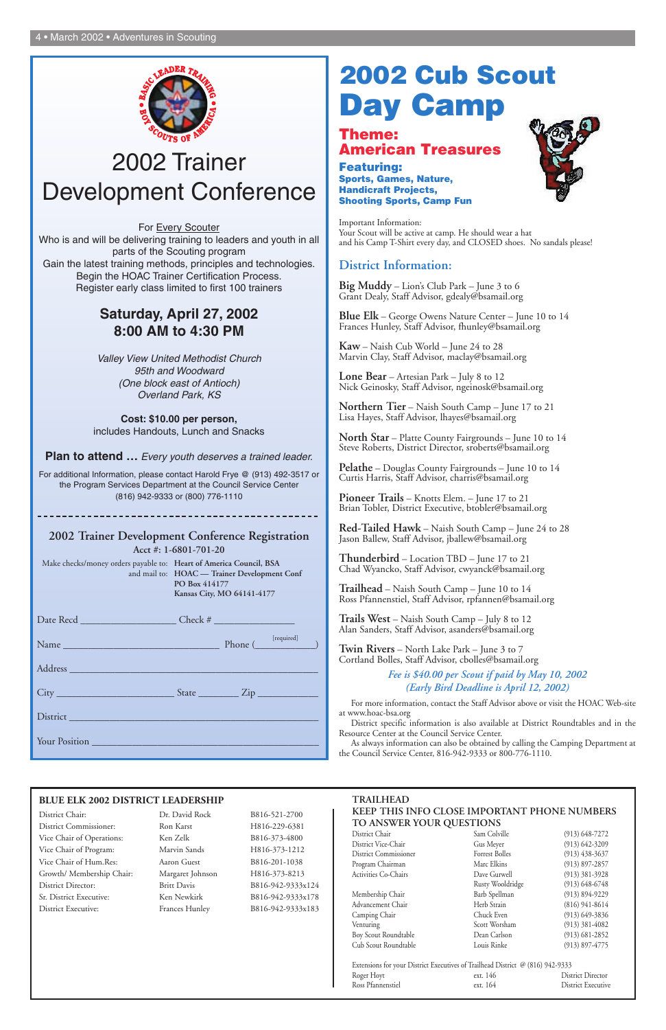

**Theme: American Treasures**

**Featuring: Sports, Games, Nature, Handicraft Projects, Shooting Sports, Camp Fun**



Important Information: Your Scout will be active at camp. He should wear a hat and his Camp T-Shirt every day, and CLOSED shoes. No sandals please!

#### **District Information:**

**Big Muddy** – Lion's Club Park – June 3 to 6 Grant Dealy, Staff Advisor, gdealy@bsamail.org

**Blue Elk** – George Owens Nature Center – June 10 to 14 Frances Hunley, Staff Advisor, fhunley@bsamail.org

**Kaw** – Naish Cub World – June 24 to 28 Marvin Clay, Staff Advisor, maclay@bsamail.org

**Lone Bear** – Artesian Park – July 8 to 12 Nick Geinosky, Staff Advisor, ngeinosk@bsamail.org

**Northern Tier** – Naish South Camp – June 17 to 21 Lisa Hayes, Staff Advisor, lhayes@bsamail.org

**North Star** – Platte County Fairgrounds – June 10 to 14 Steve Roberts, District Director, sroberts@bsamail.org

**Pelathe** – Douglas County Fairgrounds – June 10 to 14 Curtis Harris, Staff Advisor, charris@bsamail.org

**Pioneer Trails** – Knotts Elem. – June 17 to 21 Brian Tobler, District Executive, btobler@bsamail.org

**Red-Tailed Hawk** – Naish South Camp – June 24 to 28 Jason Ballew, Staff Advisor, jballew@bsamail.org

**Thunderbird** – Location TBD – June 17 to 21 Chad Wyancko, Staff Advisor, cwyanck@bsamail.org

**Trailhead** – Naish South Camp – June 10 to 14 Ross Pfannenstiel, Staff Advisor, rpfannen@bsamail.org

**Trails West** – Naish South Camp – July 8 to 12 Alan Sanders, Staff Advisor, asanders@bsamail.org

**Twin Rivers** – North Lake Park – June 3 to 7 Cortland Bolles, Staff Advisor, cbolles@bsamail.org

> *Fee is \$40.00 per Scout if paid by May 10, 2002 (Early Bird Deadline is April 12, 2002)*

For more information, contact the Staff Advisor above or visit the HOAC Web-site at www.hoac-bsa.org

District specific information is also available at District Roundtables and in the Resource Center at the Council Service Center.

#### **TRAILHEAD KEEP THIS INFO CLOSE IMPORTANT PHONE NUMBERS TO ANSWER YOUR QUESTIONS**<br>District Chair<br>Sam Colville

| District Chair        |
|-----------------------|
| District Vice-Chair   |
| District Commissioner |
| Program Chairman      |
| Activities Co-Chairs  |
|                       |

As always information can also be obtained by calling the Camping Department at the Council Service Center, 816-942-9333 or 800-776-1110.

# **2002 Cub Scout Day Camp**

# 2002 Trainer Development Conference

For Every Scouter Who is and will be delivering training to leaders and youth in all parts of the Scouting program Gain the latest training methods, principles and technologies. Begin the HOAC Trainer Certification Process. Register early class limited to first 100 trainers

> Advancement Chair Herb Strain (816) 941-8614 Camping Chair Chuck Even (913) 649-3836 Venturing Scott Worsham (913) 381-4082 Boy Scout Roundtable Dean Carlson (913) 681-2852 Cub Scout Roundtable Louis Rinke (913) 897-4775

> Gus Meyer (913) 642-3209 Forrest Bolles (913) 438-3637 Marc Elkins (913) 897-2857 Dave Gurwell (913) 381-3928 Rusty Wooldridge (913) 648-6748<br>Barb Spellman (913) 894-9229 Membership Chair Barb Spellman (913) 894-9229

 $(913)$  648-7272

#### Extensions for your District Executives of Trailhead District @ (816) 942-9333

### **Saturday, April 27, 2002 8:00 AM to 4:30 PM**

*Valley View United Methodist Church 95th and Woodward (One block east of Antioch) Overland Park, KS* 

**Cost: \$10.00 per person,** includes Handouts, Lunch and Snacks

**Plan to attend …** *Every youth deserves a trained leader.*

For additional Information, please contact Harold Frye @ (913) 492-3517 or the Program Services Department at the Council Service Center (816) 942-9333 or (800) 776-1110

#### **2002 Trainer Development Conference Registration**

**Acct #: 1-6801-701-20**

| District Management of the Communication of the Communication of the Communication of the Communication of the |  |  |
|----------------------------------------------------------------------------------------------------------------|--|--|
| Your Position                                                                                                  |  |  |

Make checks/money orders payable to: **Heart of America Council, BSA** and mail to: **HOAC — Trainer Development Conf PO Box 414177 Kansas City, MO 64141-4177**

#### **BLUE ELK 2002 DISTRICT LEADERSHIP**

District Chair: Dr. David Rock B816-521-2700

District Commissioner: Ron Karst H816-229-6381 Vice Chair of Operations: Ken Zelk B816-373-4800 Vice Chair of Program: Marvin Sands H816-373-1212 Vice Chair of Hum.Res: Aaron Guest B816-201-1038 Growth/ Membership Chair: Margaret Johnson H816-373-8213 District Director: Britt Davis B816-942-9333x124 Sr. District Executive: Ken Newkirk B816-942-9333x178 District Executive: Frances Hunley B816-942-9333x183

| Roger Hoyt        | ext. 146 | District Director  |
|-------------------|----------|--------------------|
| Ross Pfannenstiel | ext. 164 | District Executive |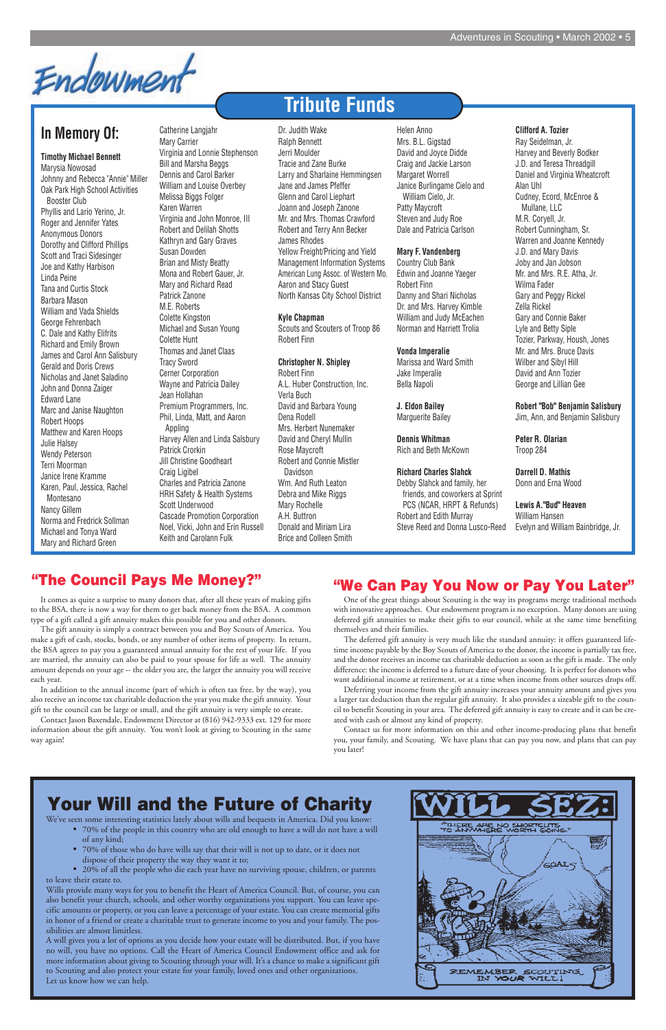Endowment

# **Your Will and the Future of Charity**

# **Tribute Funds**

### **In Memory Of:**

**Timothy Michael Bennett** Marysia Nowosad Johnny and Rebecca "Annie" Miller Oak Park High School Activities Booster Club Phyllis and Lario Yerino, Jr. Roger and Jennifer Yates Anonymous Donors Dorothy and Clifford Phillips Scott and Traci Sidesinger Joe and Kathy Harbison Linda Peine Tana and Curtis Stock Barbara Mason William and Vada Shields George Fehrenbach C. Dale and Kathy Elifrits Richard and Emily Brown James and Carol Ann Salisbury Gerald and Doris Crews Nicholas and Janet Saladino John and Donna Zaiger Edward Lane Marc and Janise Naughton Robert Hoops Matthew and Karen Hoops Julie Halsey Wendy Peterson Terri Moorman Janice Irene Kramme Karen, Paul, Jessica, Rachel Montesano Nancy Gillem Norma and Fredrick Sollman Michael and Tonya Ward Mary and Richard Green

Catherine Langjahr Mary Carrier Virginia and Lonnie Stephenson Bill and Marsha Beggs Dennis and Carol Barker William and Louise Overbey Melissa Biggs Folger Karen Warren Virginia and John Monroe, III Robert and Delilah Shotts Kathryn and Gary Graves Susan Dowden Brian and Misty Beatty Mona and Robert Gauer, Jr. Mary and Richard Read Patrick Zanone M.E. Roberts Colette Kingston Michael and Susan Young Colette Hunt Thomas and Janet Claas Tracy Sword Cerner Corporation Wayne and Patricia Dailey Jean Hollahan Premium Programmers, Inc. Phil, Linda, Matt, and Aaron Appling Harvey Allen and Linda Salsbury Patrick Crorkin Jill Christine Goodheart Craig Ligibel Charles and Patricia Zanone HRH Safety & Health Systems Scott Underwood Cascade Promotion Corporation Noel, Vicki, John and Erin Russell Keith and Carolann Fulk

Dr. Judith Wake Ralph Bennett Jerri Moulder Tracie and Zane Burke Larry and Sharlaine Hemmingsen Jane and James Pfeffer Glenn and Carol Liephart Joann and Joseph Zanone Mr. and Mrs. Thomas Crawford Robert and Terry Ann Becker James Rhodes Yellow Freight/Pricing and Yield Management Information Systems American Lung Assoc. of Western Mo. Aaron and Stacy Guest North Kansas City School District

#### **Kyle Chapman**

Scouts and Scouters of Troop 86 Robert Finn

#### **Christopher N. Shipley**

Robert Finn A.L. Huber Construction, Inc. Verla Buch David and Barbara Young Dena Rodell Mrs. Herbert Nunemaker David and Cheryl Mullin Rose Maycroft Robert and Connie Mistler Davidson Wm. And Ruth Leaton Debra and Mike Riggs Mary Rochelle A.H. Buttron Donald and Miriam Lira Brice and Colleen Smith

Helen Anno Mrs. B.L. Gigstad David and Joyce Didde Craig and Jackie Larson Margaret Worrell Janice Burlingame Cielo and William Cielo, Jr. Patty Maycroft Steven and Judy Roe Dale and Patricia Carlson

#### **Mary F. Vandenberg**

Country Club Bank Edwin and Joanne Yaeger Robert Finn Danny and Shari Nicholas Dr. and Mrs. Harvey Kimble William and Judy McEachen Norman and Harriett Trolia

#### **Vonda Imperalie**

Marissa and Ward Smith Jake Imperalie Bella Napoli

#### **J. Eldon Bailey** Marguerite Bailey

**Dennis Whitman** Rich and Beth McKown

#### **Richard Charles Slahck**

Debby Slahck and family, her friends, and coworkers at Sprint PCS (NCAR, HRPT & Refunds) Robert and Edith Murray Steve Reed and Donna Lusco-Reed

#### **Clifford A. Tozier**

Ray Seidelman, Jr. Harvey and Beverly Bodker J.D. and Teresa Threadgill Daniel and Virginia Wheatcroft Alan Uhl Cudney, Ecord, McEnroe & Mullane, LLC M.R. Coryell, Jr. Robert Cunningham, Sr. Warren and Joanne Kennedy J.D. and Mary Davis Joby and Jan Jobson Mr. and Mrs. R.E. Atha, Jr. Wilma Fader Gary and Peggy Rickel Zella Rickel Gary and Connie Baker Lyle and Betty Siple Tozier, Parkway, Housh, Jones Mr. and Mrs. Bruce Davis Wilber and Sibyl Hill David and Ann Tozier George and Lillian Gee

**Robert "Bob" Benjamin Salisbury** Jim, Ann, and Benjamin Salisbury

**Peter R. Olarian** Troop 284

#### **Darrell D. Mathis** Donn and Erna Wood

**Lewis A."Bud" Heaven** William Hansen Evelyn and William Bainbridge, Jr.

We've seen some interesting statistics lately about wills and bequests in America. Did you know:

- 70% of the people in this country who are old enough to have a will do not have a will of any kind;
- 70% of those who do have wills say that their will is not up to date, or it does not dispose of their property the way they want it to;
- 20% of all the people who die each year have no surviving spouse, children, or parents to leave their estate to.

Wills provide many ways for you to benefit the Heart of America Council. But, of course, you can also benefit your church, schools, and other worthy organizations you support. You can leave specific amounts or property, or you can leave a percentage of your estate. You can create memorial gifts in honor of a friend or create a charitable trust to generate income to you and your family. The possibilities are almost limitless.

A will gives you a lot of options as you decide how your estate will be distributed. But, if you have no will, you have no options. Call the Heart of America Council Endowment office and ask for more information about giving to Scouting through your will. It's a chance to make a significant gift to Scouting and also protect your estate for your family, loved ones and other organizations. Let us know how we can help.



One of the great things about Scouting is the way its programs merge traditional methods with innovative approaches. Our endowment program is no exception. Many donors are using deferred gift annuities to make their gifts to our council, while at the same time benefiting themselves and their families.

The deferred gift annuity is very much like the standard annuity: it offers guaranteed lifetime income payable by the Boy Scouts of America to the donor, the income is partially tax free, and the donor receives an income tax charitable deduction as soon as the gift is made. The only difference: the income is deferred to a future date of your choosing. It is perfect for donors who want additional income at retirement, or at a time when income from other sources drops off.

Deferring your income from the gift annuity increases your annuity amount and gives you a larger tax deduction than the regular gift annuity. It also provides a sizeable gift to the council to benefit Scouting in your area. The deferred gift annuity is easy to create and it can be created with cash or almost any kind of property.

Contact us for more information on this and other income-producing plans that benefit you, your family, and Scouting. We have plans that can pay you now, and plans that can pay you later!

#### **"The Council Pays Me Money?"**

It comes as quite a surprise to many donors that, after all these years of making gifts to the BSA, there is now a way for them to get back money from the BSA. A common type of a gift called a gift annuity makes this possible for you and other donors.

The gift annuity is simply a contract between you and Boy Scouts of America. You make a gift of cash, stocks, bonds, or any number of other items of property. In return, the BSA agrees to pay you a guaranteed annual annuity for the rest of your life. If you are married, the annuity can also be paid to your spouse for life as well. The annuity amount depends on your age -- the older you are, the larger the annuity you will receive each year.

In addition to the annual income (part of which is often tax free, by the way), you also receive an income tax charitable deduction the year you make the gift annuity. Your gift to the council can be large or small, and the gift annuity is very simple to create.

Contact Jason Baxendale, Endowment Director at (816) 942-9333 ext. 129 for more information about the gift annuity. You won't look at giving to Scouting in the same way again!

#### **"We Can Pay You Now or Pay You Later"**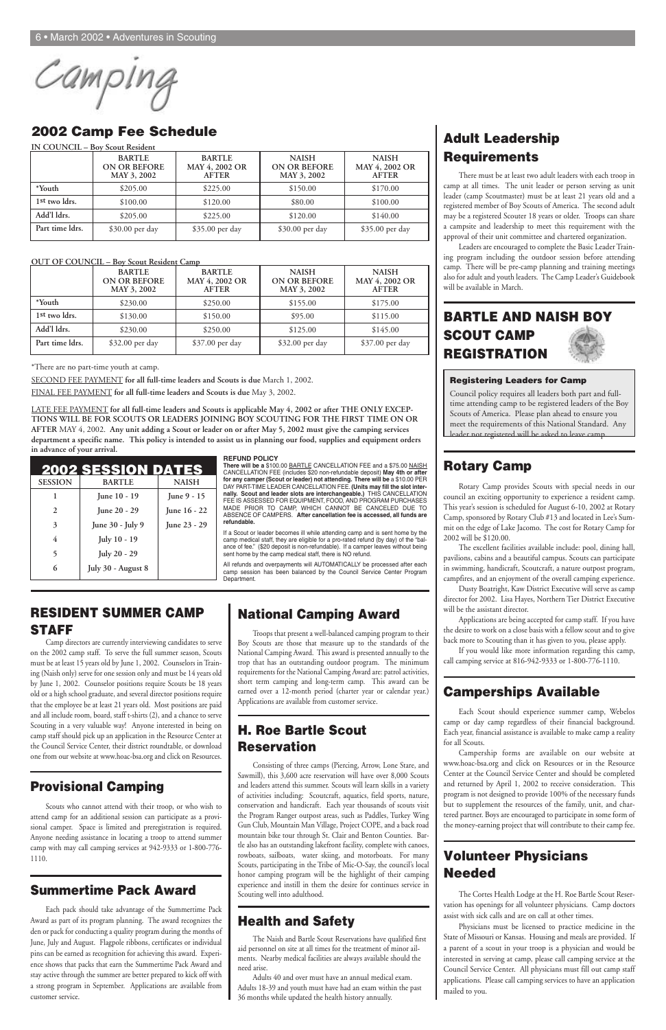Camping

## **Adult Leadership Requirements**

There must be at least two adult leaders with each troop in camp at all times. The unit leader or person serving as unit leader (camp Scoutmaster) must be at least 21 years old and a registered member of Boy Scouts of America. The second adult may be a registered Scouter 18 years or older. Troops can share a campsite and leadership to meet this requirement with the approval of their unit committee and chartered organization.

Leaders are encouraged to complete the Basic Leader Training program including the outdoor session before attending camp. There will be pre-camp planning and training meetings also for adult and youth leaders. The Camp Leader's Guidebook will be available in March.

### **BARTLE AND NAISH BOY SCOUT CAMP REGISTRATION**

#### **Rotary Camp**

Rotary Camp provides Scouts with special needs in our council an exciting opportunity to experience a resident camp. This year's session is scheduled for August 6-10, 2002 at Rotary Camp, sponsored by Rotary Club #13 and located in Lee's Summit on the edge of Lake Jacomo. The cost for Rotary Camp for 2002 will be \$120.00.

The excellent facilities available include: pool, dining hall, pavilions, cabins and a beautiful campus. Scouts can participate in swimming, handicraft, Scoutcraft, a nature outpost program, campfires, and an enjoyment of the overall camping experience.

Dusty Boatright, Kaw District Executive will serve as camp director for 2002. Lisa Hayes, Northern Tier District Executive will be the assistant director.

Camp directors are currently interviewing candidates to serve on the 2002 camp staff. To serve the full summer season, Scouts must be at least 15 years old by June 1, 2002. Counselors in Training (Naish only) serve for one session only and must be 14 years old by June 1, 2002. Counselor positions require Scouts be 18 years old or a high school graduate, and several director positions require that the employee be at least 21 years old. Most positions are paid and all include room, board, staff t-shirts (2), and a chance to serve Scouting in a very valuable way! Anyone interested in being on camp staff should pick up an application in the Resource Center at the Council Service Center, their district roundtable, or download one from our website at www.hoac-bsa.org and click on Resoure

Applications are being accepted for camp staff. If you have the desire to work on a close basis with a fellow scout and to give back more to Scouting than it has given to you, please apply.

If you would like more information regarding this camp, call camping service at 816-942-9333 or 1-800-776-1110.

#### **Camperships Available**

Each Scout should experience summer camp, Webelos camp or day camp regardless of their financial background. Each year, financial assistance is available to make camp a reality for all Scouts.

Campership forms are available on our website at

www.hoac-bsa.org and click on Resources or in the Resource Center at the Council Service Center and should be completed and returned by April 1, 2002 to receive consideration. This program is not designed to provide 100% of the necessary funds but to supplement the resources of the family, unit, and chartered partner. Boys are encouraged to participate in some form of the money-earning project that will contribute to their camp fee.

#### **Volunteer Physicians Needed**

The Cortes Health Lodge at the H. Roe Bartle Scout Reservation has openings for all volunteer physicians. Camp doctors assist with sick calls and are on call at other times.

Physicians must be licensed to practice medicine in the State of Missouri or Kansas. Housing and meals are provided. If a parent of a scout in your troop is a physician and would be interested in serving at camp, please call camping service at the Council Service Center. All physicians must fill out camp staff applications. Please call camping services to have an application mailed to you.

#### **RESIDENT SUMMER CAMP STAFF**

#### **Provisional Camping**

Scouts who cannot attend with their troop, or who wish to attend camp for an additional session can participate as a provisional camper. Space is limited and preregistration is required. Anyone needing assistance in locating a troop to attend summer camp with may call camping services at 942-9333 or 1-800-776- 1110.

#### **Summertime Pack Award**

Each pack should take advantage of the Summertime Pack Award as part of its program planning. The award recognizes the den or pack for conducting a quality program during the months of June, July and August. Flagpole ribbons, certificates or individual pins can be earned as recognition for achieving this award. Experience shows that packs that earn the Summertime Pack Award and stay active through the summer are better prepared to kick off with a strong program in September. Applications are available from customer service.

#### **National Camping Award**

Troops that present a well-balanced camping program to their Boy Scouts are those that measure up to the standards of the National Camping Award. This award is presented annually to the trop that has an outstanding outdoor program. The minimum requirements for the National Camping Award are: patrol activities, short term camping and long-term camp. This award can be earned over a 12-month period (charter year or calendar year.) Applications are available from customer service.

#### **H. Roe Bartle Scout Reservation**

Consisting of three camps (Piercing, Arrow, Lone Stare, and Sawmill), this 3,600 acre reservation will have over 8,000 Scouts and leaders attend this summer. Scouts will learn skills in a variety of activities including: Scoutcraft, aquatics, field sports, nature, conservation and handicraft. Each year thousands of scouts visit the Program Ranger outpost areas, such as Paddles, Turkey Wing Gun Club, Mountain Man Village, Project COPE, and a back road mountain bike tour through St. Clair and Benton Counties. Bartle also has an outstanding lakefront facility, complete with canoes, rowboats, sailboats, water skiing, and motorboats. For many Scouts, participating in the Tribe of Mic-O-Say, the council's local honor camping program will be the highlight of their camping experience and instill in them the desire for continues service in Scouting well into adulthood.

#### **Health and Safety**

The Naish and Bartle Scout Reservations have qualified first aid personnel on site at all times for the treatment of minor ailments. Nearby medical facilities are always available should the need arise.

Adults 40 and over must have an annual medical exam. Adults 18-39 and youth must have had an exam within the past 36 months while updated the health history annually.

#### **2002 Camp Fee Schedule**

#### **OUT OF COUNCIL – Boy Scout Resident Camp**

\*There are no part-time youth at camp.

SECOND FEE PAYMENT **for all full-time leaders and Scouts is due** March 1, 2002.

FINAL FEE PAYMENT **for all full-time leaders and Scouts is due** May 3, 2002.

LATE FEE PAYMENT **for all full-time leaders and Scouts is applicable May 4, 2002 or after THE ONLY EXCEP-TIONS WILL BE FOR SCOUTS OR LEADERS JOINING BOY SCOUTING FOR THE FIRST TIME ON OR AFTER** MAY 4, 2002. **Any unit adding a Scout or leader on or after May 5, 2002 must give the camping services department a specific name. This policy is intended to assist us in planning our food, supplies and equipment orders in advance of your arrival.**

|                           | <b>IN COUNCIL – Boy Scout Resident</b>              |                                                 |                                                    |                                                |
|---------------------------|-----------------------------------------------------|-------------------------------------------------|----------------------------------------------------|------------------------------------------------|
|                           | <b>BARTLE</b><br><b>ON OR BEFORE</b><br>MAY 3, 2002 | <b>BARTLE</b><br>MAY 4, 2002 OR<br><b>AFTER</b> | <b>NAISH</b><br><b>ON OR BEFORE</b><br>MAY 3, 2002 | <b>NAISH</b><br>MAY 4, 2002 OR<br><b>AFTER</b> |
| *Youth                    | \$205.00                                            | \$225.00                                        | \$150.00                                           | \$170.00                                       |
| 1 <sup>st</sup> two ldrs. | \$100.00                                            | \$120.00                                        | \$80.00                                            | \$100.00                                       |
| Add'l ldrs.               | \$205.00                                            | \$225.00                                        | \$120.00                                           | \$140.00                                       |
| Part time ldrs.           | \$30.00 per day                                     | \$35.00 per day                                 | \$30.00 per day                                    | \$35.00 per day                                |

|                 | <b>BARTLE</b><br><b>ON OR BEFORE</b><br>MAY 3, 2002 | <b>BARTLE</b><br>MAY 4, 2002 OR<br><b>AFTER</b> | <b>NAISH</b><br><b>ON OR BEFORE</b><br>MAY 3, 2002 | <b>NAISH</b><br>MAY 4, 2002 OR<br><b>AFTER</b> |
|-----------------|-----------------------------------------------------|-------------------------------------------------|----------------------------------------------------|------------------------------------------------|
| *Youth          | \$230.00                                            | \$250.00                                        | \$155.00                                           | \$175.00                                       |
| 1st two ldrs.   | \$130.00                                            | \$150.00                                        | \$95.00                                            | \$115.00                                       |
| Add'l ldrs.     | \$230.00                                            | \$250.00                                        | \$125.00                                           | \$145.00                                       |
| Part time ldrs. | \$32.00 per day                                     | \$37.00 per day                                 | \$32.00 per day                                    | \$37.00 per day                                |

|                | 2002 SESSION DATES |                |
|----------------|--------------------|----------------|
| <b>SESSION</b> | <b>BARTLE</b>      | <b>NAISH</b>   |
|                | June 10 - 19       | June $9 - 15$  |
| 2              | June 20 - 29       | June 16 - 22   |
| 3              | June 30 - July 9   | June $23 - 29$ |
| 4              | July 10 - 19       |                |
| 5              | July 20 - 29       |                |
| 6              | July 30 - August 8 |                |

#### **REFUND POLICY**

**There will be a** \$100.00 BARTLE CANCELLATION FEE and a \$75.00 NAISH CANCELLATION FEE (includes \$20 non-refundable deposit) **May 4th or after for any camper (Scout or leader) not attending. There will be** a \$10.00 PER DAY PART-TIME LEADER CANCELLATION FEE. **(Units may fill the slot internally. Scout and leader slots are interchangeable.)** THIS CANCELLATION FEE IS ASSESSED FOR EQUIPMENT, FOOD, AND PROGRAM PURCHASES MADE PRIOR TO CAMP, WHICH CANNOT BE CANCELED DUE TO ABSENCE OF CAMPERS. **After cancellation fee is accessed, all funds are refundable.**

If a Scout or leader becomes ill while attending camp and is sent home by the camp medical staff, they are eligible for a pro-rated refund (by day) of the "balance of fee." (\$20 deposit is non-refundable). If a camper leaves without being sent home by the camp medical staff, there is NO refund.

All refunds and overpayments will AUTOMATICALLY be processed after each camp session has been balanced by the Council Service Center Program Department.

#### **Registering Leaders for Camp**

Council policy requires all leaders both part and fulltime attending camp to be registered leaders of the Boy Scouts of America. Please plan ahead to ensure you meet the requirements of this National Standard. Any leader not registered will be asked to leave camp.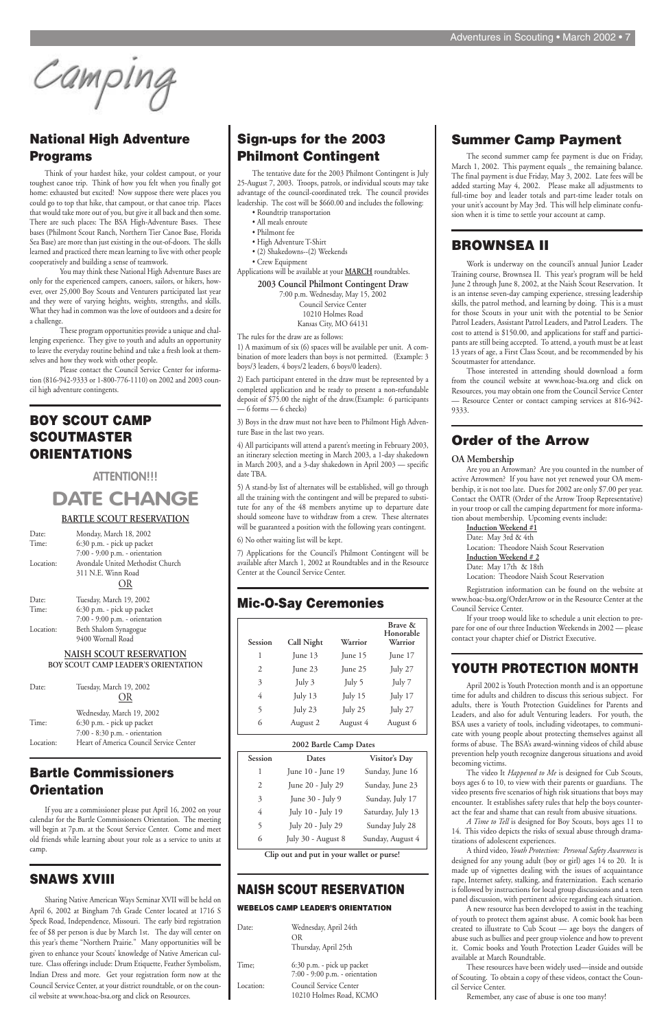Camping

#### **Summer Camp Payment**

The second summer camp fee payment is due on Friday, March 1, 2002. This payment equals \_ the remaining balance. The final payment is due Friday, May 3, 2002. Late fees will be added starting May 4, 2002. Please make all adjustments to full-time boy and leader totals and part-time leader totals on your unit's account by May 3rd. This will help eliminate confusion when it is time to settle your account at camp.

#### **BROWNSEA II**

Work is underway on the council's annual Junior Leader Training course, Brownsea II. This year's program will be held June 2 through June 8, 2002, at the Naish Scout Reservation. It is an intense seven-day camping experience, stressing leadership skills, the patrol method, and learning by doing. This is a must for those Scouts in your unit with the potential to be Senior Patrol Leaders, Assistant Patrol Leaders, and Patrol Leaders. The cost to attend is \$150.00, and applications for staff and participants are still being accepted. To attend, a youth must be at least 13 years of age, a First Class Scout, and be recommended by his Scoutmaster for attendance.

Those interested in attending should download a form from the council website at www.hoac-bsa.org and click on Resources, you may obtain one from the Council Service Center — Resource Center or contact camping services at 816-942- 9333.

#### **Order of the Arrow**

#### **OA Membership**

Are you an Arrowman? Are you counted in the number of active Arrowmen? If you have not yet renewed your OA membership, it is not too late. Dues for 2002 are only \$7.00 per year. Contact the OATR (Order of the Arrow Troop Representative) in your troop or call the camping department for more information about membership. Upcoming events include:

#### **Induction Weekend #1**

Date: May 3rd & 4th Location: Theodore Naish Scout Reservation **Induction Weekend # 2** Date: May 17th & 18th

Location: Theodore Naish Scout Reservation

Registration information can be found on the website at www.hoac-bsa.org/OrderArrow or in the Resource Center at the Council Service Center.

If your troop would like to schedule a unit election to prepare for one of our three Induction Weekends in 2002 — please contact your chapter chief or District Executive.

#### **YOUTH PROTECTION MONTH**

April 2002 is Youth Protection month and is an opportune time for adults and children to discuss this serious subject. For adults, there is Youth Protection Guidelines for Parents and Leaders, and also for adult Venturing leaders. For youth, the BSA uses a variety of tools, including videotapes, to communicate with young people about protecting themselves against all forms of abuse. The BSA's award-winning videos of child abuse prevention help youth recognize dangerous situations and avoid

becoming victims.

The video It *Happened to Me* is designed for Cub Scouts, boys ages 6 to 10, to view with their parents or guardians. The video presents five scenarios of high risk situations that boys may encounter. It establishes safety rules that help the boys counteract the fear and shame that can result from abusive situations.

*A Time to Tell* is designed for Boy Scouts, boys ages 11 to 14. This video depicts the risks of sexual abuse through dramatizations of adolescent experiences.

A third video, *Youth Protection: Personal Safety Awareness* is designed for any young adult (boy or girl) ages 14 to 20. It is made up of vignettes dealing with the issues of acquaintance rape, Internet safety, stalking, and fraternization. Each scenario is followed by instructions for local group discussions and a teen panel discussion, with pertinent advice regarding each situation.

A new resource has been developed to assist in the teaching of youth to protect them against abuse. A comic book has been created to illustrate to Cub Scout — age boys the dangers of abuse such as bullies and peer group violence and how to prevent it. Comic books and Youth Protection Leader Guides will be available at March Roundtable.

These resources have been widely used—inside and outside of Scouting. To obtain a copy of these videos, contact the Council Service Center.

Remember, any case of abuse is one too many!

#### **National High Adventure Programs**

Think of your hardest hike, your coldest campout, or your toughest canoe trip. Think of how you felt when you finally got home: exhausted but excited! Now suppose there were places you could go to top that hike, that campout, or that canoe trip. Places that would take more out of you, but give it all back and then some. There are such places: The BSA High-Adventure Bases. These bases (Philmont Scout Ranch, Northern Tier Canoe Base, Florida Sea Base) are more than just existing in the out-of-doors. The skills learned and practiced there mean learning to live with other people cooperatively and building a sense of teamwork.

You may think these National High Adventure Bases are only for the experienced campers, canoers, sailors, or hikers, however, over 25,000 Boy Scouts and Venturers participated last year and they were of varying heights, weights, strengths, and skills. What they had in common was the love of outdoors and a desire for a challenge.

These program opportunities provide a unique and challenging experience. They give to youth and adults an opportunity to leave the everyday routine behind and take a fresh look at themselves and how they work with other people.

Please contact the Council Service Center for information (816-942-9333 or 1-800-776-1110) on 2002 and 2003 council high adventure contingents.

#### **BOY SCOUT CAMP SCOUTMASTER ORIENTATIONS**

**ATTENTION!!!**

# **DATE CHANGE**

#### **BARTLE SCOUT RESERVATION**

| Date:     | Monday, March 18, 2002           |
|-----------|----------------------------------|
| Time:     | 6:30 p.m. - pick up packet       |
|           | 7:00 - 9:00 p.m. - orientation   |
| Location: | Avondale United Methodist Church |
|           | 311 N.E. Winn Road               |
|           | OR                               |
| Date:     | Tuesday, March 19, 2002          |
| Time:     | 6:30 p.m. - pick up packet       |
|           | 7:00 - 9:00 p.m. - orientation   |
| Location: | Beth Shalom Synagogue            |

9400 Wornall Road

#### **NAISH SCOUT RESERVATION BOY SCOUT CAMP LEADER'S ORIENTATION**

Date: Tuesday, March 19, 2002 OR Wednesday, March 19, 2002

#### Time: 6:30 p.m. - pick up packet 7:00 - 8:30 p.m. - orientation Location: Heart of America Council Service Center

#### **Bartle Commissioners Orientation**

If you are a commissioner please put April 16, 2002 on your calendar for the Bartle Commissioners Orientation. The meeting will begin at 7p.m. at the Scout Service Center. Come and meet old friends while learning about your role as a service to units at camp.

#### **SNAWS XVIII**

Sharing Native American Ways Seminar XVII will be held on April 6, 2002 at Bingham 7th Grade Center located at 1716 S Speck Road, Independence, Missouri. The early bird registration fee of \$8 per person is due by March 1st. The day will center on this year's theme "Northern Prairie." Many opportunities will be given to enhance your Scouts' knowledge of Native American culture. Class offerings include: Drum Etiquette, Feather Symbolism, Indian Dress and more. Get your registration form now at the Council Service Center, at your district roundtable, or on the council website at www.hoac-bsa.org and click on Resources.

#### **Sign-ups for the 2003 Philmont Contingent**

The tentative date for the 2003 Philmont Contingent is July 25-August 7, 2003. Troops, patrols, or individual scouts may take advantage of the council-coordinated trek. The council provides leadership. The cost will be \$660.00 and includes the following:

- Roundtrip transportation
- All meals enroute
- Philmont fee
- High Adventure T-Shirt
- (2) Shakedowns--(2) Weekends
- Crew Equipment

Applications will be available at your **MARCH** roundtables.

**2003 Council Philmont Contingent Draw**

7:00 p.m. Wednesday, May 15, 2002 Council Service Center 10210 Holmes Road Kansas City, MO 64131

The rules for the draw are as follows:

1) A maximum of six (6) spaces will be available per unit. A combination of more leaders than boys is not permitted. (Example: 3 boys/3 leaders, 4 boys/2 leaders, 6 boys/0 leaders).

2) Each participant entered in the draw must be represented by a completed application and be ready to present a non-refundable deposit of \$75.00 the night of the draw.(Example: 6 participants — 6 forms — 6 checks)

3) Boys in the draw must not have been to Philmont High Adventure Base in the last two years.

4) All participants will attend a parent's meeting in February 2003, an itinerary selection meeting in March 2003, a 1-day shakedown in March 2003, and a 3-day shakedown in April 2003 — specific date TBA.

5) A stand-by list of alternates will be established, will go through all the training with the contingent and will be prepared to substitute for any of the 48 members anytime up to departure date should someone have to withdraw from a crew. These alternates will be guaranteed a position with the following years contingent.

6) No other waiting list will be kept.

7) Applications for the Council's Philmont Contingent will be available after March 1, 2002 at Roundtables and in the Resource Center at the Council Service Center.

#### **Mic-O-Say Ceremonies**

#### **NAISH SCOUT RESERVATION**

#### **WEBELOS CAMP LEADER'S ORIENTATION**

Date: Wednesday, April 24th OR Thursday, April 25th

Time; 6:30 p.m. - pick up packet 7:00 - 9:00 p.m. - orientation Location: Council Service Center 10210 Holmes Road, KCMO

| Session                | Call Night | Warrior  | Brave &<br>Honorable<br>Warrior |
|------------------------|------------|----------|---------------------------------|
| 1                      | June 13    | June 15  | June 17                         |
| 2                      | June 23    | June 25  | July 27                         |
| 3                      | July 3     | July 5   | July 7                          |
| 4                      | July 13    | July 15  | July 17                         |
| 5                      | July 23    | July 25  | July 27                         |
| 6                      | August 2   | August 4 | August 6                        |
| 2002 Bartle Camp Dates |            |          |                                 |

**Clip out and put in your wallet or purse!**

| Session | Dates              | Visitor's Day     |
|---------|--------------------|-------------------|
|         | June 10 - June 19  | Sunday, June 16   |
| 2       | June 20 - July 29  | Sunday, June 23   |
| 3       | June 30 - July 9   | Sunday, July 17   |
| 4       | July 10 - July 19  | Saturday, July 13 |
| 5       | July 20 - July 29  | Sunday July 28    |
| 6       | July 30 - August 8 | Sunday, August 4  |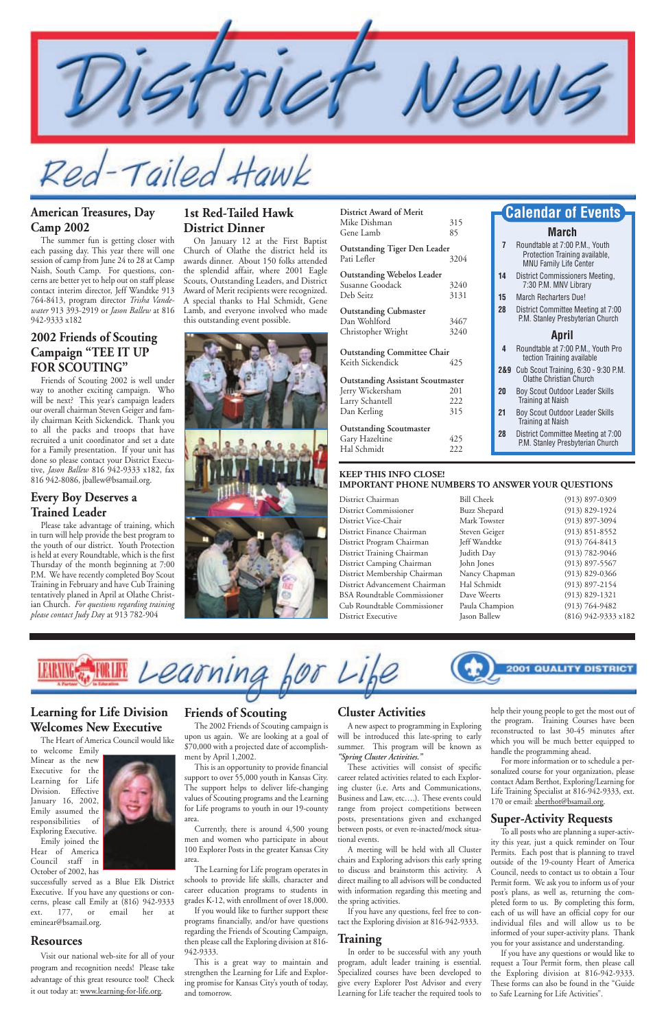Tailed Hawk

#### **1st Red-Tailed Hawk District Dinner**

On January 12 at the First Baptist Church of Olathe the district held its awards dinner. About 150 folks attended the splendid affair, where 2001 Eagle Scouts, Outstanding Leaders, and District Award of Merit recipients were recognized. A special thanks to Hal Schmidt, Gene Lamb, and everyone involved who made this outstanding event possible.



#### **American Treasures, Day Camp 2002**

The summer fun is getting closer with each passing day. This year there will one session of camp from June 24 to 28 at Camp Naish, South Camp. For questions, concerns are better yet to help out on staff please contact interim director, Jeff Wandtke 913 764-8413, program director *Trisha Vandewater* 913 393-2919 or *Jason Ballew* at 816 942-9333 x182

#### **2002 Friends of Scouting Campaign "TEE IT UP FOR SCOUTING"**

Friends of Scouting 2002 is well under way to another exciting campaign. Who will be next? This year's campaign leaders our overall chairman Steven Geiger and family chairman Keith Sickendick. Thank you to all the packs and troops that have recruited a unit coordinator and set a date for a Family presentation. If your unit has done so please contact your District Executive, *Jason Ballew* 816 942-9333 x182, fax 816 942-8086, jballew@bsamail.org.

#### **Every Boy Deserves a Trained Leader**

Please take advantage of training, which in turn will help provide the best program to the youth of our district. Youth Protection is held at every Roundtable, which is the first Thursday of the month beginning at 7:00 P.M. We have recently completed Boy Scout Training in February and have Cub Training tentatively planed in April at Olathe Christian Church. *For questions regarding training please contact Judy Da*y at 913 782-904

#### **March**

| 7 | Roundtable at 7:00 P.M., Youth |
|---|--------------------------------|
|   | Protection Training available, |
|   | <b>MNU Family Life Center</b>  |

- **14** District Commissioners Meeting, 7:30 P.M. MNV Library
- **15** March Recharters Due!
- **28** District Committee Meeting at 7:00 P.M. Stanley Presbyterian Church

#### **April**

- **4** Roundtable at 7:00 P.M., Youth Pro tection Training available
- **2&9** Cub Scout Training, 6:30 9:30 P.M. Olathe Christian Church
- **20** Boy Scout Outdoor Leader Skills Training at Naish
- **21** Boy Scout Outdoor Leader Skills Training at Naish
- **28** District Committee Meeting at 7:00 P.M. Stanley Presbyterian Church

#### **Calendar of Events**

#### **Learning for Life Division Welcomes New Executive**

The Heart of America Council would like to welcome Emily

Minear as the new Executive for the Learning for Life Division. Effective January 16, 2002, Emily assumed the responsibilities of Exploring Executive.

Emily joined the Hear of America Council staff in October of 2002, has

For more information or to schedule a personalized course for your organization, please contact Adam Berthot, Exploring/Learning for Life Training Specialist at 816-942-9333, ext. 170 or email: aberthot@bsamail.org.

successfully served as a Blue Elk District Executive. If you have any questions or concerns, please call Emily at (816) 942-9333 ext. 177, or email her at eminear@bsamail.org.

#### **Resources**

Visit our national web-site for all of your program and recognition needs! Please take advantage of this great resource tool! Check it out today at: www.learning-for-life.org.

#### **Friends of Scouting**

The 2002 Friends of Scouting campaign is upon us again. We are looking at a goal of \$70,000 with a projected date of accomplish-

ment by April 1,2002.

This is an opportunity to provide financial support to over 55,000 youth in Kansas City. The support helps to deliver life-changing values of Scouting programs and the Learning for Life programs to youth in our 19-county area.

Currently, there is around 4,500 young men and women who participate in about 100 Explorer Posts in the greater Kansas City area.

The Learning for Life program operates in schools to provide life skills, character and career education programs to students in grades K-12, with enrollment of over 18,000. If you would like to further support these programs financially, and/or have questions regarding the Friends of Scouting Campaign, then please call the Exploring division at 816- 942-9333.

This is a great way to maintain and strengthen the Learning for Life and Exploring promise for Kansas City's youth of today, and tomorrow.

#### **Cluster Activities**

A new aspect to programming in Exploring will be introduced this late-spring to early summer. This program will be known as

*"Spring Cluster Activities."* 

These activities will consist of specific career related activities related to each Exploring cluster (i.e. Arts and Communications, Business and Law, etc….). These events could range from project competitions between posts, presentations given and exchanged between posts, or even re-inacted/mock situational events.

A meeting will be held with all Cluster chairs and Exploring advisors this early spring to discuss and brainstorm this activity. A direct mailing to all advisors will be conducted with information regarding this meeting and the spring activities.

If you have any questions, feel free to contact the Exploring division at 816-942-9333.

#### **Training**

In order to be successful with any youth program, adult leader training is essential. Specialized courses have been developed to give every Explorer Post Advisor and every Learning for Life teacher the required tools to help their young people to get the most out of the program. Training Courses have been reconstructed to last 30-45 minutes after which you will be much better equipped to handle the programming ahead.

#### **Super-Activity Requests**

To all posts who are planning a super-activity this year, just a quick reminder on Tour Permits. Each post that is planning to travel outside of the 19-county Heart of America Council, needs to contact us to obtain a Tour Permit form. We ask you to inform us of your post's plans, as well as, returning the completed form to us. By completing this form, each of us will have an official copy for our individual files and will allow us to be informed of your super-activity plans. Thank you for your assistance and understanding.

If you have any questions or would like to request a Tour Permit form, then please call the Exploring division at 816-942-9333. These forms can also be found in the "Guide to Safe Learning for Life Activities".

#### **KEEP THIS INFO CLOSE! IMPORTANT PHONE NUMBERS TO ANSWER YOUR QUESTIONS**

| District Chairman                  | <b>Bill Cheek</b>   | $(913)$ 897-0309    |
|------------------------------------|---------------------|---------------------|
| <b>District Commissioner</b>       | <b>Buzz Shepard</b> | $(913) 829 - 1924$  |
| District Vice-Chair                | Mark Towster        | $(913)$ 897-3094    |
| District Finance Chairman          | Steven Geiger       | $(913) 851 - 8552$  |
| District Program Chairman          | Jeff Wandtke        | $(913) 764 - 8413$  |
| District Training Chairman         | Judith Day          | $(913) 782 - 9046$  |
| District Camping Chairman          | John Jones          | $(913)$ 897-5567    |
| District Membership Chairman       | Nancy Chapman       | $(913)$ 829-0366    |
| District Advancement Chairman      | Hal Schmidt         | $(913) 897 - 2154$  |
| <b>BSA Roundtable Commissioner</b> | Dave Weerts         | $(913) 829 - 1321$  |
| Cub Roundtable Commissioner        | Paula Champion      | $(913) 764 - 9482$  |
| District Executive                 | Jason Ballew        | (816) 942-9333 x182 |
|                                    |                     |                     |



| District Award of Merit<br>Mike Dishman<br>Gene Lamb               | 315<br>85         |
|--------------------------------------------------------------------|-------------------|
| <b>Outstanding Tiger Den Leader</b><br>Pati Lefler                 | 3204              |
| <b>Outstanding Webelos Leader</b><br>Susanne Goodack<br>Deb Seitz  | 3240<br>3131      |
| <b>Outstanding Cubmaster</b><br>Dan Wohlford<br>Christopher Wright | 3467<br>3240      |
| <b>Outstanding Committee Chair</b><br>Keith Sickendick             | 425               |
| <b>Outstanding Assistant Scoutmaster</b>                           |                   |
| Jerry Wickersham<br>Larry Schantell<br>Dan Kerling                 | 201<br>222<br>315 |
| <b>Outstanding Scoutmaster</b><br>Gary Hazeltine<br>Hal Schmidt    | 425<br>222        |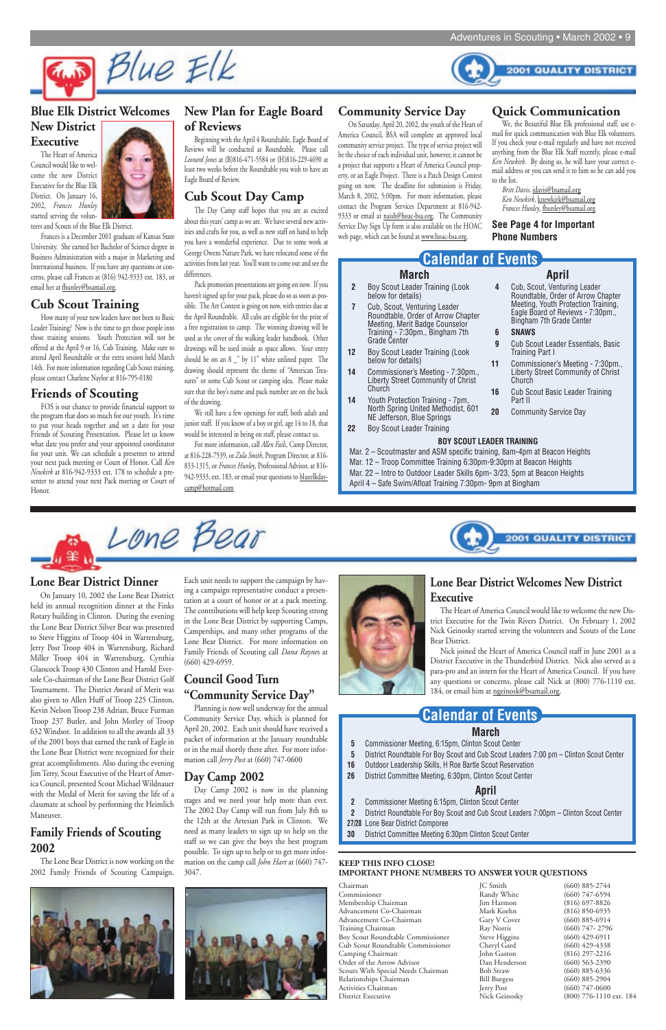

#### **BOY SCOUT LEADER TRAINING**

Mar. 2 – Scoutmaster and ASM specific training, 8am-4pm at Beacon Heights Mar. 12 – Troop Committee Training 6:30pm-9:30pm at Beacon Heights Mar. 22 – Intro to Outdoor Leader Skills 6pm- 3/23, 5pm at Beacon Heights April 4 – Safe Swim/Afloat Training 7:30pm- 9pm at Bingham



#### **March**

- **2** Boy Scout Leader Training (Look below for details)
- **7** Cub, Scout, Venturing Leader Roundtable, Order of Arrow Chapter Meeting, Merit Badge Counselor Training - 7:30pm., Bingham 7th Grade Center
- **12** Boy Scout Leader Training (Look below for details)
- **14** Commissioner's Meeting 7:30pm., Liberty Street Community of Christ Church
- **14** Youth Protection Training 7pm, North Spring United Methodist, 601 NE Jefferson, Blue Springs
- **22** Boy Scout Leader Training

**April 4** Cub, Scout, Venturing Leader

> Roundtable, Order of Arrow Chapter Meeting, Youth Protection Training, Eagle Board of Reviews - 7:30pm., Bingham 7th Grade Center

**6 SNAWS**

**9** Cub Scout Leader Essentials, Basic

Training Part I

**11** Commissioner's Meeting - 7:30pm., Liberty Street Community of Christ

**2001 QUALITY DISTRICT** 

16 Cub Scout Basic Leader Training

Church

Part II

**20** Community Service Day

#### **Calendar of Events**

#### **March**

- **5** Commissioner Meeting, 6:15pm, Clinton Scout Center
- **5** District Roundtable For Boy Scout and Cub Scout Leaders 7:00 pm Clinton Scout Center



- **16** Outdoor Leadership Skills, H Roe Bartle Scout Reservation
- **26** District Committee Meeting, 6:30pm, Clinton Scout Center

#### **April**

- **2** Commissioner Meeting 6:15pm, Clinton Scout Center
- **2** District Roundtable For Boy Scout and Cub Scout Leaders 7:00pm Clinton Scout Center
- **27/28** Lone Bear District Comporee
- **30** District Committee Meeting 6:30pm Clinton Scout Center

## **Calendar of Events**

#### **Blue Elk District Welcomes**

The Day Camp staff hopes that you are as excited about this years' camp as we are. We have several new activities and crafts for you, as well as new staff on hand to help you have a wonderful experience. Due to some work at George Owens Nature Park, we have relocated some of the activities from last year. You'll want to come out and see the differences.

#### **New District Executive**

The Heart of America Council would like to welcome the new District Executive for the Blue Elk District. On January 16, 2002, *Frances Hunley* started serving the volun-



Frances is a December 2001 graduate of Kansas State University. She earned her Bachelor of Science degree in Business Administration with a major in Marketing and International business. If you have any questions or concerns, please call Frances at (816) 942-9333 ext. 183, or email her at fhunley@bsamail.org.

#### **Cub Scout Training**

How many of your new leaders have not been to Basic Leader Training? Now is the time to get those people into those training sessions. Youth Protection will not be offered at the April 9 or 16, Cub Training. Make sure to attend April Roundtable or the extra session held March 14th. For more information regarding Cub Scout training, please contact Charlene Naylor at 816-795-0180

#### **Friends of Scouting**

FOS is our chance to provide financial support to the program that does so much for our youth. It's time to put your heads together and set a date for your Friends of Scouting Presentation. Please let us know what date you prefer and your appointed coordinator for your unit. We can schedule a presenter to attend your next pack meeting or Court of Honor. Call *Ken Newkirk* at 816-942-9333 ext. 178 to schedule a presenter to attend your next Pack meeting or Court of Honor.

#### **New Plan for Eagle Board of Reviews**

Beginning with the April 4 Roundtable, Eagle Board of Reviews will be conducted at Roundtable. Please call *Leonard Jones* at (B)816-471-5584 or (H)816-229-4690 at least two weeks before the Roundtable you wish to have an Eagle Board of Review.

#### **Cub Scout Day Camp**

Pack promotion presentations are going on now. If you haven't signed up for your pack, please do so as soon as possible. The Art Contest is going on now, with entries due at the April Roundtable. All cubs are eligible for the prize of a free registration to camp. The winning drawing will be used as the cover of the walking leader handbook. Other drawings will be used inside as space allows. Your entry should be on an 8 \_" by 11" white unlined paper. The drawing should represent the theme of "American Treasures" or some Cub Scout or camping idea. Please make sure that the boy's name and pack number are on the back of the drawing.

> Nick joined the Heart of America Council staff in June 2001 as a District Executive in the Thunderbird District. Nick also served as a para-pro and an intern for the Heart of America Council. If you have any questions or concerns, please call Nick at (800) 776-1110 ext. 184, or email him at ngeinosk@bsamail.org.

We still have a few openings for staff, both adult and junior staff. If you know of a boy or girl, age 14 to 18, that would be interested in being on staff, please contact us.

For more information, call *Allen Fails*, Camp Director, at 816-228-7539, or *Zula Smith*, Program Director, at 816- 833-1315, or *Frances Hunley*, Professional Advisor, at 816- 942-9333, ext. 183, or email your questions to blueelkdaycamp@hotmail.com

#### **Community Service Day**

On Saturday, April 20, 2002, the youth of the Heart of America Council, BSA will complete an approved local community service project. The type of service project will be the choice of each individual unit, however, it cannot be a project that supports a Heart of America Council property, or an Eagle Project. There is a Patch Design Contest going on now. The deadline for submission is Friday, March 8, 2002, 5:00pm. For more information, please contact the Program Services Department at 816-942- 9333 or email at naish@hoac-bsa.org. The Community Service Day Sign Up form is also available on the HOAC web page, which can be found at www.hoac-bsa.org.

#### **Quick Communication**

**2001 QUALITY DISTRICT** 

We, the Beautiful Blue Elk professional staff, use email for quick communication with Blue Elk volunteers. If you check your e-mail regularly and have not received anything from the Blue Elk Staff recently, please e-mail *Ken Newkirk*. By doing so, he will have your correct email address or you can send it to him so he can add you to the list.

*Britt Davis*, jdavis@bsamail.org *Ken Newkirk*, knewkirk@bsamail.org *Frances Hunley*, fhunley@bsamail.org

#### **Lone Bear District Dinner**

On January 10, 2002 the Lone Bear District held its annual recognition dinner at the Finks Rotary building in Clinton. During the evening the Lone Bear District Silver Bear was presented to Steve Higgins of Troop 404 in Warrensburg, Jerry Post Troop 404 in Warrensburg, Richard Miller Troop 404 in Warrensburg, Cynthia Glasscock Troop 430 Clinton and Harold Eversole Co-chairman of the Lone Bear District Golf Tournament. The District Award of Merit was also given to Allen Huff of Troop 225 Clinton, Kevin Nelson Troop 238 Adrian, Bruce Furman Troop 237 Butler, and John Morley of Troop 632 Windsor. In addition to all the awards all 33 of the 2001 boys that earned the rank of Eagle in the Lone Bear District were recognized for their great accomplishments. Also during the evening Jim Terry, Scout Executive of the Heart of America Council, presented Scout Michael Wildnauer with the Medal of Merit for saving the life of a classmate at school by performing the Heimlich Maneuver.

#### **Family Friends of Scouting 2002**

The Lone Bear District is now working on the 2002 Family Friends of Scouting Campaign.



Each unit needs to support the campaign by having a campaign representative conduct a presentation at a court of honor or at a pack meeting. The contributions will help keep Scouting strong in the Lone Bear District by supporting Camps, Camperships, and many other programs of the Lone Bear District. For more information on Family Friends of Scouting call *Dana Rayne*s at (660) 429-6959.

#### **Council Good Turn "Community Service Day"**

Planning is now well underway for the annual Community Service Day, which is planned for April 20, 2002. Each unit should have received a packet of information at the January roundtable or in the mail shortly there after. For more infor-



mation call *Jerry Post* at (660) 747-0600

#### **Day Camp 2002**

Day Camp 2002 is now in the planning stages and we need your help more than ever. The 2002 Day Camp will run from July 8th to the 12th at the Artesian Park in Clinton. We need as many leaders to sign up to help on the staff so we can give the boys the best program possible. To sign up to help or to get more information on the camp call *John Hart* at (660) 747- 3047.



#### **Lone Bear District Welcomes New District Executive**

The Heart of America Council would like to welcome the new District Executive for the Twin Rivers District. On February 1, 2002 Nick Geinosky started serving the volunteers and Scouts of the Lone Bear District.

#### **KEEP THIS INFO CLOSE! IMPORTANT PHONE NUMBERS TO ANSWER YOUR QUESTIONS**

| Chairman                           | <b>IC</b> Smith     | $(660)$ 885-2744   |
|------------------------------------|---------------------|--------------------|
| Commissioner                       | Randy White         | $(660)$ 747-6594   |
| Membership Chairman                | Jim Harmon          | $(816)$ 697-8826   |
| Advancement Co-Chairman            | Mark Koehn          | $(816) 850 - 6935$ |
| Advancement Co-Chairman            | Gary V Cover        | $(660)$ 885-6914   |
| Training Chairman                  | Ray Norris          | $(660)$ 747-2796   |
| Boy Scout Roundtable Commissioner  | Steve Higgins       | $(660)$ 429-6911   |
| Cub Scout Roundtable Commissioner  | Cheryl Gard         | $(660)$ 429-4338   |
| Camping Chairman                   | John Gaston         | $(816)$ 297-2216   |
| Order of the Arrow Advisor         | Dan Henderson       | $(660)$ 563-2390   |
| Scouts With Special Needs Chairman | <b>Bob Straw</b>    | $(660)$ 885-6336   |
| Relationships Chairman             | <b>Bill Burgess</b> | $(660)$ 885-2904   |
| Activities Chairman                | Jerry Post          | $(660)$ 747-0600   |
| District Executive                 | Nick Geinosky       | $(800)$ 776-1110   |
|                                    |                     |                    |

6) 850-6935 0) 885-6914 0) 747- 2796 0) 429-6911 6) 297-2216  $0.563 - 2390$ 0) 885-6336 0) 885-2904 0) 747-0600 0) 776-1110 ext. 184

#### **See Page 4 for Important Phone Numbers**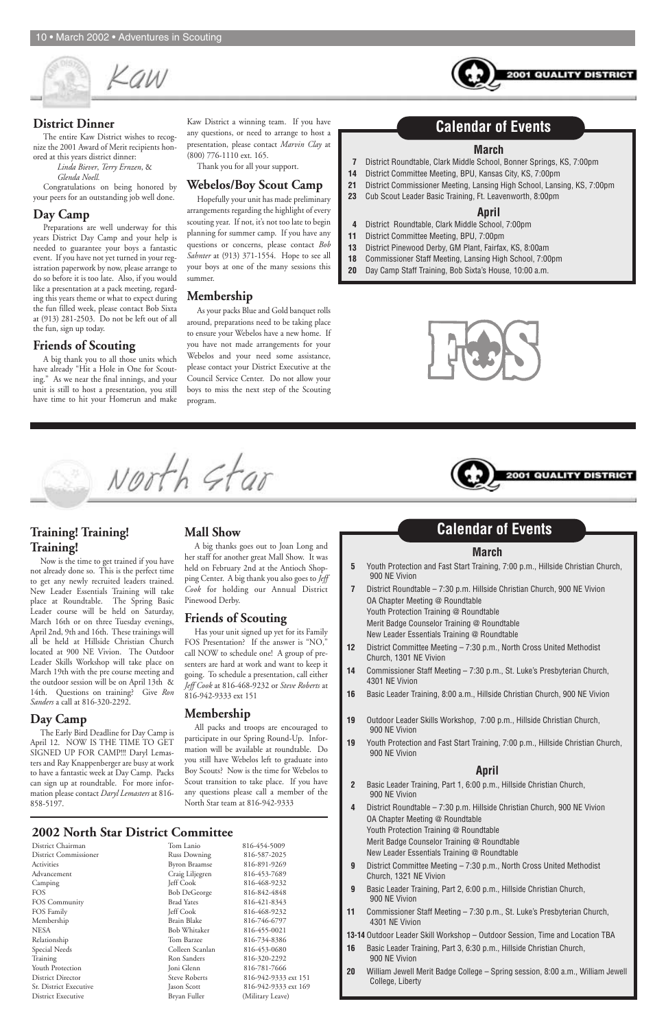

#### **2002 North Star District Committee**

| District Chairman            | Tom Lanio            | 816-454-5009         |
|------------------------------|----------------------|----------------------|
| <b>District Commissioner</b> | <b>Russ Downing</b>  | 816-587-2025         |
| Activities                   | <b>Byron Braamse</b> | 816-891-9269         |
| Advancement                  | Craig Liljegren      | 816-453-7689         |
| Camping                      | Jeff Cook            | 816-468-9232         |
| <b>FOS</b>                   | <b>Bob DeGeorge</b>  | 816-842-4848         |
| FOS Community                | <b>Brad Yates</b>    | 816-421-8343         |
| FOS Family                   | <b>Jeff Cook</b>     | 816-468-9232         |
| Membership                   | Brain Blake          | 816-746-6797         |
| <b>NESA</b>                  | <b>Bob Whitaker</b>  | 816-455-0021         |
| Relationship                 | Tom Barzee           | 816-734-8386         |
| Special Needs                | Colleen Scanlan      | 816-453-0680         |
| Training                     | Ron Sanders          | 816-320-2292         |
| Youth Protection             | Joni Glenn           | 816-781-7666         |
| <b>District Director</b>     | <b>Steve Roberts</b> | 816-942-9333 ext 151 |
| Sr. District Executive       | Jason Scott          | 816-942-9333 ext 169 |
| <b>District Executive</b>    | Bryan Fuller         | (Military Leave)     |

#### **March**

- **7** District Roundtable, Clark Middle School, Bonner Springs, KS, 7:00pm
- **14** District Committee Meeting, BPU, Kansas City, KS, 7:00pm
- **21** District Commissioner Meeting, Lansing High School, Lansing, KS, 7:00pm
- **23** Cub Scout Leader Basic Training, Ft. Leavenworth, 8:00pm

#### **April**

- **4** District Roundtable, Clark Middle School, 7:00pm
- **11** District Committee Meeting, BPU, 7:00pm
- **13** District Pinewood Derby, GM Plant, Fairfax, KS, 8:00am
- **18** Commissioner Staff Meeting, Lansing High School, 7:00pm
- **20** Day Camp Staff Training, Bob Sixta's House, 10:00 a.m.





## **Calendar of Events**

01 QUALITY

#### **March**

- **5** Youth Protection and Fast Start Training, 7:00 p.m., Hillside Christian Church, 900 NE Vivion
- **7** District Roundtable 7:30 p.m. Hillside Christian Church, 900 NE Vivion OA Chapter Meeting @ Roundtable Youth Protection Training @ Roundtable Merit Badge Counselor Training @ Roundtable New Leader Essentials Training @ Roundtable
- **12** District Committee Meeting 7:30 p.m., North Cross United Methodist Church, 1301 NE Vivion
- **14** Commissioner Staff Meeting 7:30 p.m., St. Luke's Presbyterian Church, 4301 NE Vivion
- **16** Basic Leader Training, 8:00 a.m., Hillside Christian Church, 900 NE Vivion
- **19** Outdoor Leader Skills Workshop, 7:00 p.m., Hillside Christian Church, 900 NE Vivion
- **19** Youth Protection and Fast Start Training, 7:00 p.m., Hillside Christian Church, 900 NE Vivion

#### **April**

- **2** Basic Leader Training, Part 1, 6:00 p.m., Hillside Christian Church, 900 NE Vivion
- **4** District Roundtable 7:30 p.m. Hillside Christian Church, 900 NE Vivion OA Chapter Meeting @ Roundtable Youth Protection Training @ Roundtable Merit Badge Counselor Training @ Roundtable New Leader Essentials Training @ Roundtable
- **9** District Committee Meeting 7:30 p.m., North Cross United Methodist Church, 1321 NE Vivion
- **9** Basic Leader Training, Part 2, 6:00 p.m., Hillside Christian Church, 900 NE Vivion
- **11** Commissioner Staff Meeting 7:30 p.m., St. Luke's Presbyterian Church, 4301 NE Vivion

**13-14** Outdoor Leader Skill Workshop – Outdoor Session, Time and Location TBA

- **16** Basic Leader Training, Part 3, 6:30 p.m., Hillside Christian Church, 900 NE Vivion
- **20** William Jewell Merit Badge College Spring session, 8:00 a.m., William Jewell College, Liberty

## **Calendar of Events**

**QUALIT** 

DISTR

#### **District Dinner**

The entire Kaw District wishes to recognize the 2001 Award of Merit recipients honored at this years district dinner:

> *Linda Biever*, *Terry Ernzen*, & *Glenda Noell.*

Congratulations on being honored by your peers for an outstanding job well done.

#### **Day Camp**

Preparations are well underway for this years District Day Camp and your help is needed to guarantee your boys a fantastic event. If you have not yet turned in your registration paperwork by now, please arrange to do so before it is too late. Also, if you would like a presentation at a pack meeting, regarding this years theme or what to expect during the fun filled week, please contact Bob Sixta at (913) 281-2503. Do not be left out of all the fun, sign up today.

#### **Friends of Scouting**

A big thank you to all those units which have already "Hit a Hole in One for Scouting." As we near the final innings, and your unit is still to host a presentation, you still have time to hit your Homerun and make

Kaw District a winning team. If you have any questions, or need to arrange to host a presentation, please contact *Marvin Clay* at (800) 776-1110 ext. 165.

Thank you for all your support.

#### **Webelos/Boy Scout Camp**

Hopefully your unit has made preliminary arrangements regarding the highlight of every scouting year. If not, it's not too late to begin planning for summer camp. If you have any questions or concerns, please contact *Bob Sahnter* at (913) 371-1554. Hope to see all your boys at one of the many sessions this summer.

#### **Membership**

As your packs Blue and Gold banquet rolls around, preparations need to be taking place to ensure your Webelos have a new home. If you have not made arrangements for your Webelos and your need some assistance, please contact your District Executive at the Council Service Center. Do not allow your boys to miss the next step of the Scouting program.

#### **Training! Training! Training!**

Now is the time to get trained if you have not already done so. This is the perfect time to get any newly recruited leaders trained. New Leader Essentials Training will take place at Roundtable. The Spring Basic Leader course will be held on Saturday, March 16th or on three Tuesday evenings, April 2nd, 9th and 16th. These trainings will all be held at Hillside Christian Church located at 900 NE Vivion. The Outdoor Leader Skills Workshop will take place on March 19th with the pre course meeting and the outdoor session will be on April 13th & 14th. Questions on training? Give *Ron Sanders* a call at 816-320-2292.

#### **Day Camp**

The Early Bird Deadline for Day Camp is April 12. NOW IS THE TIME TO GET SIGNED UP FOR CAMP!!! Daryl Lemas-

ters and Ray Knappenberger are busy at work to have a fantastic week at Day Camp. Packs can sign up at roundtable. For more information please contact *Daryl Lemasters* at 816- 858-5197.

#### **Mall Show**

A big thanks goes out to Joan Long and her staff for another great Mall Show. It was held on February 2nd at the Antioch Shopping Center. A big thank you also goes to *Jeff Cook* for holding our Annual District Pinewood Derby.

#### **Friends of Scouting**

Has your unit signed up yet for its Family FOS Presentation? If the answer is "NO," call NOW to schedule one! A group of presenters are hard at work and want to keep it going. To schedule a presentation, call either *Jeff Cook* at 816-468-9232 or *Steve Roberts* at 816-942-9333 ext 151

#### **Membership**

All packs and troops are encouraged to participate in our Spring Round-Up. Information will be available at roundtable. Do you still have Webelos left to graduate into Boy Scouts? Now is the time for Webelos to Scout transition to take place. If you have any questions please call a member of the North Star team at 816-942-9333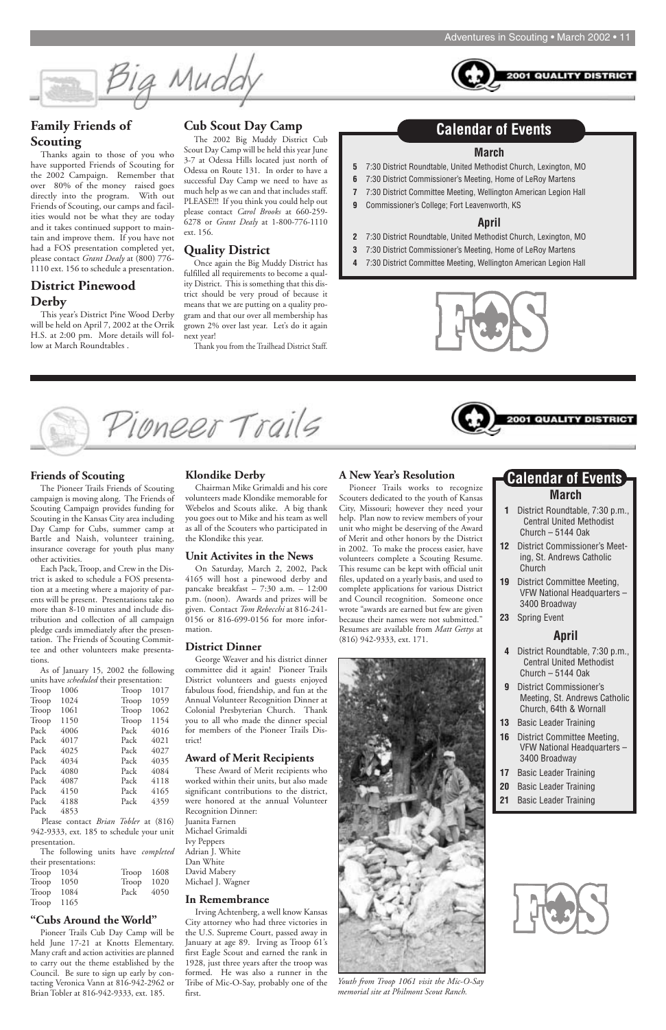**2001 QUALITY DISTRI** 



#### **Friends of Scouting**

The Pioneer Trails Friends of Scouting campaign is moving along. The Friends of Scouting Campaign provides funding for Scouting in the Kansas City area including Day Camp for Cubs, summer camp at Bartle and Naish, volunteer training, insurance coverage for youth plus many other activities.

Each Pack, Troop, and Crew in the District is asked to schedule a FOS presentation at a meeting where a majority of parents will be present. Presentations take no more than 8-10 minutes and include distribution and collection of all campaign pledge cards immediately after the presentation. The Friends of Scouting Committee and other volunteers make presentations.

As of January 15, 2002 the following units have *scheduled* their presentation:

| Troop | 1006 | Troop | 1017 |
|-------|------|-------|------|
| Troop | 1024 | Troop | 1059 |
| Troop | 1061 | Troop | 1062 |
| Troop | 1150 | Troop | 1154 |
| Pack  | 4006 | Pack  | 4016 |
| Pack  | 4017 | Pack  | 4021 |
| Pack  | 4025 | Pack  | 4027 |
| Pack  | 4034 | Pack  | 4035 |
| Pack  | 4080 | Pack  | 4084 |
| Pack  | 4087 | Pack  | 4118 |
| Pack  | 4150 | Pack  | 4165 |
| Pack  | 4188 | Pack  | 4359 |
| Pack  | 4853 |       |      |
|       |      |       |      |

Please contact *Brian Tobler* at (816) 942-9333, ext. 185 to schedule your unit presentation.

The following units have *completed* their presentations:

| Troop $1034$ | Troop $1608$ |  |
|--------------|--------------|--|
| $Trop$ 1050  | Troop $1020$ |  |
| $Trop$ 1084  | Pack 4050    |  |
| $Trop$ 1165  |              |  |

#### **"Cubs Around the World"**

Pioneer Trails Cub Day Camp will be held June 17-21 at Knotts Elementary. Many craft and action activities are planned to carry out the theme established by the Council. Be sure to sign up early by contacting Veronica Vann at 816-942-2962 or Brian Tobler at 816-942-9333, ext. 185.

#### **Klondike Derby**

Chairman Mike Grimaldi and his core volunteers made Klondike memorable for Webelos and Scouts alike. A big thank you goes out to Mike and his team as well as all of the Scouters who participated in the Klondike this year.

#### **Unit Activites in the News**

On Saturday, March 2, 2002, Pack 4165 will host a pinewood derby and pancake breakfast – 7:30 a.m. – 12:00 p.m. (noon). Awards and prizes will be given. Contact *Tom Rebecchi* at 816-241- 0156 or 816-699-0156 for more information.

#### **District Dinner**

George Weaver and his district dinner committee did it again! Pioneer Trails District volunteers and guests enjoyed fabulous food, friendship, and fun at the Annual Volunteer Recognition Dinner at Colonial Presbyterian Church. Thank you to all who made the dinner special for members of the Pioneer Trails District!

#### **Award of Merit Recipients**

These Award of Merit recipients who worked within their units, but also made significant contributions to the district, were honored at the annual Volunteer Recognition Dinner: Juanita Farnen Michael Grimaldi Ivy Peppers

Adrian J. White Dan White David Mabery Michael J. Wagner

#### **In Remembrance**

Irving Achtenberg, a well know Kansas City attorney who had three victories in the U.S. Supreme Court, passed away in January at age 89. Irving as Troop 61's first Eagle Scout and earned the rank in 1928, just three years after the troop was formed. He was also a runner in the Tribe of Mic-O-Say, probably one of the first.

#### **Family Friends of Scouting**

Thanks again to those of you who have supported Friends of Scouting for the 2002 Campaign. Remember that over 80% of the money raised goes directly into the program. With out Friends of Scouting, our camps and facilities would not be what they are today and it takes continued support to maintain and improve them. If you have not had a FOS presentation completed yet, please contact *Grant Dealy* at (800) 776- 1110 ext. 156 to schedule a presentation.

#### **District Pinewood Derby**

This year's District Pine Wood Derby will be held on April 7, 2002 at the Orrik H.S. at 2:00 pm. More details will follow at March Roundtables .

#### **Cub Scout Day Camp**

The 2002 Big Muddy District Cub Scout Day Camp will be held this year June 3-7 at Odessa Hills located just north of Odessa on Route 131. In order to have a successful Day Camp we need to have as much help as we can and that includes staff. PLEASE!!! If you think you could help out please contact *Carol Brooks* at 660-259- 6278 or *Grant Dealy* at 1-800-776-1110 ext. 156.

#### **Quality District**

Once again the Big Muddy District has fulfilled all requirements to become a quality District. This is something that this district should be very proud of because it means that we are putting on a quality program and that our over all membership has grown 2% over last year. Let's do it again next year!

Thank you from the Trailhead District Staff.

- **1** District Roundtable, 7:30 p.m., Central United Methodist Church – 5144 Oak
- **12** District Commissioner's Meeting, St. Andrews Catholic Church
- **19** District Committee Meeting, VFW National Headquarters – 3400 Broadway
- **23** Spring Event

#### **April**

### **March Calendar of Events**

- **4** District Roundtable, 7:30 p.m., Central United Methodist Church – 5144 Oak
- **9** District Commissioner's Meeting, St. Andrews Catholic Church, 64th & Wornall
- **13** Basic Leader Training
- **16** District Committee Meeting, VFW National Headquarters –

| 3400 Broadway |                              |  |  |
|---------------|------------------------------|--|--|
| 17            | <b>Basic Leader Training</b> |  |  |
| 20            | <b>Basic Leader Training</b> |  |  |
| 21            | <b>Basic Leader Training</b> |  |  |



#### **March**

- **5** 7:30 District Roundtable, United Methodist Church, Lexington, MO
- **6** 7:30 District Commissioner's Meeting, Home of LeRoy Martens
- **7** 7:30 District Committee Meeting, Wellington American Legion Hall
- **9** Commissioner's College; Fort Leavenworth, KS

#### **April**

- **2** 7:30 District Roundtable, United Methodist Church, Lexington, MO
- **3** 7:30 District Commissioner's Meeting, Home of LeRoy Martens
- **4** 7:30 District Committee Meeting, Wellington American Legion Hall



Pioneer Trails

### **Calendar of Events**

#### **A New Year's Resolution**

Pioneer Trails works to recognize Scouters dedicated to the youth of Kansas City, Missouri; however they need your help. Plan now to review members of your unit who might be deserving of the Award of Merit and other honors by the District in 2002. To make the process easier, have volunteers complete a Scouting Resume. This resume can be kept with official unit files, updated on a yearly basis, and used to complete applications for various District and Council recognition. Someone once wrote "awards are earned but few are given because their names were not submitted." Resumes are available from *Matt Gettys* at (816) 942-9333, ext. 171.



*Youth from Troop 1061 visit the Mic-O-Say memorial site at Philmont Scout Ranch.*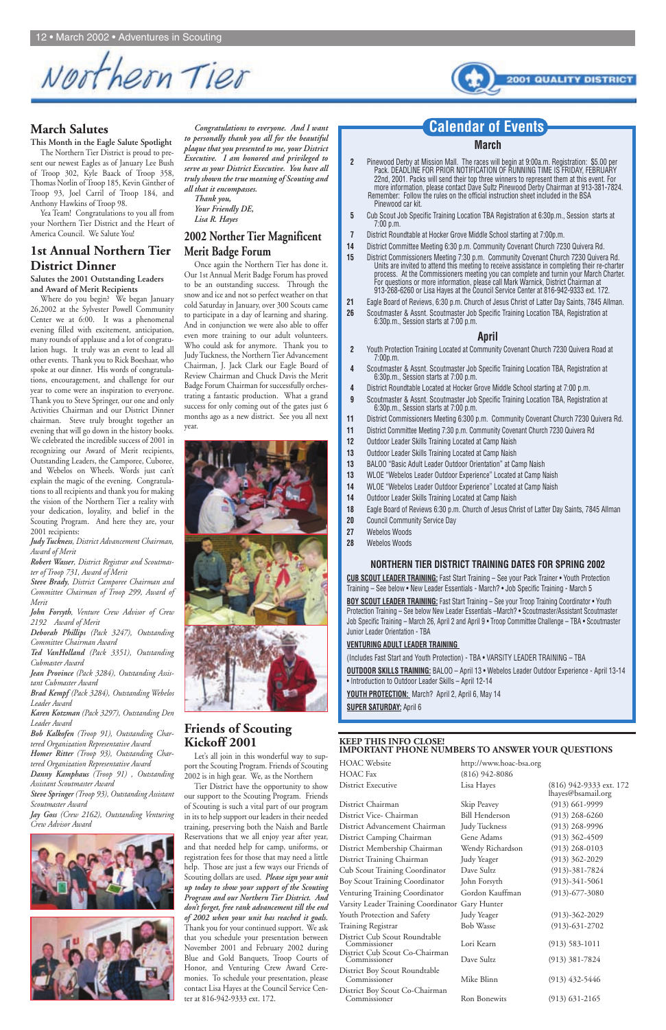Northern Tier



#### **March Salutes**

#### **This Month in the Eagle Salute Spotlight**

The Northern Tier District is proud to present our newest Eagles as of January Lee Bush of Troop 302, Kyle Baack of Troop 358, Thomas Norlin of Troop 185, Kevin Ginther of Troop 93, Joel Carril of Troop 184, and Anthony Hawkins of Troop 98.

Yea Team! Congratulations to you all from your Northern Tier District and the Heart of America Council. We Salute You!

#### **1st Annual Northern Tier District Dinner**

**Salutes the 2001 Outstanding Leaders and Award of Merit Recipients**

Where do you begin? We began January 26,2002 at the Sylvester Powell Community Center we at 6:00. It was a phenomenal evening filled with excitement, anticipation, many rounds of applause and a lot of congratulation hugs. It truly was an event to lead all other events. Thank you to Rick Boeshaar, who spoke at our dinner. His words of congratulations, encouragement, and challenge for our year to come were an inspiration to everyone. Thank you to Steve Springer, our one and only Activities Chairman and our District Dinner chairman. Steve truly brought together an evening that will go down in the history books. We celebrated the incredible success of 2001 in recognizing our Award of Merit recipients, Outstanding Leaders, the Camporee, Cuboree, and Webelos on Wheels. Words just can't explain the magic of the evening. Congratulations to all recipients and thank you for making the vision of the Northern Tier a reality with your dedication, loyality, and belief in the Scouting Program. And here they are, your 2001 recipients:

*Judy Tuckness, District Advancement Chairman, Award of Merit*

*Robert Wasser, District Registrar and Scoutmaster of Troop 731, Award of Merit*

*Steve Brady, District Camporee Chairman and Committee Chairman of Troop 299, Award of Merit*

*John Forsyth, Venture Crew Advisor of Crew 2192 Award of Merit*

*Deborah Phillips (Pack 3247), Outstanding Committee Chairman Award*

*Ted VanHolland (Pack 3351), Outstanding Cubmaster Award*

*Jean Province (Pack 3284), Outstanding Assistant Cubmaster Award*

*Brad Kempf (Pack 3284), Outstanding Webelos Leader Award*

*Karen Kotzman (Pack 3297), Outstanding Den Leader Award*

*Bob Kalkofen (Troop 91), Outstanding Chartered Organization Representative Award Homer Ritter (Troop 93), Outstanding Char-*

*tered Organization Representative Award Danny Kamphaus (Troop 91) , Outstanding Assistant Scoutmaster Award Steve Springer (Troop 93), Outstanding Assistant Scoutmaster Award Jay Goss (Crew 2162), Outstanding Venturing Crew Advisor Award*





lhayes@bsamail.org Dave Sultz (913) 381-7824

District Chairman Skip Peavey (913) 661-9999 District Vice- Chairman Bill Henderson (913) 268-6260 District Advancement Chairman Judy Tuckness (913) 268-9996 District Camping Chairman Gene Adams (913) 362-4509 District Membership Chairman Wendy Richardson (913) 268-0103 District Training Chairman Judy Yeager (913) 362-2029 Cub Scout Training Coordinator Dave Sultz (913)-381-7824 Boy Scout Training Coordinator John Forsyth (913)-341-5061 Venturing Training Coordinator Gordon Kauffman (913)-677-3080 Varsity Leader Training Coordinator Gary Hunter Youth Protection and Safety Judy Yeager (913)-362-2029 Training Registrar Bob Wasse (913)-631-2702 District Cub Scout Roundtable Commissioner Lori Kearn (913) 583-1011 District Cub Scout Co-Chairman District Boy Scout Roundtable Mike Blinn (913) 432-5446 District Boy Scout Co-Chairman Ron Bonewits (913) 631-2165

*Congratulations to everyone. And I want to personally thank you all for the beautiful plaque that you presented to me, your District Executive. I am honored and privileged to serve as your District Executive. You have all truly shown the true meaning of Scouting and all that it encompasses.*

*Thank you, Your Friendly DE, Lisa R. Hayes*

#### **2002 Norther Tier Magnificent Merit Badge Forum**

Once again the Northern Tier has done it. Our 1st Annual Merit Badge Forum has proved to be an outstanding success. Through the snow and ice and not so perfect weather on that cold Saturday in January, over 300 Scouts came to participate in a day of learning and sharing. And in conjunction we were also able to offer even more training to our adult volunteers. Who could ask for anymore. Thank you to Judy Tuckness, the Northern Tier Advancement Chairman, J. Jack Clark our Eagle Board of Review Chairman and Chuck Davis the Merit Badge Forum Chairman for successfully orchestrating a fantastic production. What a grand success for only coming out of the gates just 6 months ago as a new district. See you all next year.





#### **Friends of Scouting Kickoff 2001**

Let's all join in this wonderful way to sup-

port the Scouting Program. Friends of Scouting 2002 is in high gear. We, as the Northern

Tier District have the opportunity to show our support to the Scouting Program. Friends of Scouting is such a vital part of our program in its to help support our leaders in their needed training, preserving both the Naish and Bartle Reservations that we all enjoy year after year, and that needed help for camp, uniforms, or registration fees for those that may need a little help. Those are just a few ways our Friends of Scouting dollars are used. *Please sign your unit up today to show your support of the Scouting Program and our Northern Tier District. And don't forget, free rank advancement till the end of 2002 when your unit has reached it goals.* Thank you for your continued support. We ask that you schedule your presentation between November 2001 and February 2002 during Blue and Gold Banquets, Troop Courts of Honor, and Venturing Crew Award Ceremonies. To schedule your presentation, please contact Lisa Hayes at the Council Service Center at 816-942-9333 ext. 172.

**BOY SCOUT LEADER TRAINING:** Fast Start Training - See your Troop Training Coordinator • Youth Protection Training – See below New Leader Essentials –March? • Scoutmaster/Assistant Scoutmaster Job Specific Training – March 26, April 2 and April 9 • Troop Committee Challenge – TBA • Scoutmaster Junior Leader Orientation - TBA

**KEEP THIS INFO CLOSE! IMPORTANT PHONE NUMBERS TO ANSWER YOUR QUESTIONS**

HOAC Fax (816) 942-8086

HOAC Website http://www.hoac-bsa.org District Executive Lisa Hayes (816) 942-9333 ext. 172

#### **March**

- **2** Pinewood Derby at Mission Mall. The races will begin at 9:00a.m. Registration: \$5.00 per Pack. DEADLINE FOR PRIOR NOTIFICATION OF RUNNING TIME IS FRIDAY, FEBRUARY 22nd, 2001. Packs will send their top three winners to represent them at this event. For more information, please contact Dave Sultz Pinewood Derby Chairman at 913-381-7824. Remember: Follow the rules on the official instruction sheet included in the BSA Pinewood car kit.
- **5** Cub Scout Job Specific Training Location TBA Registration at 6:30p.m., Session starts at 7:00 p.m.
- **7** District Roundtable at Hocker Grove Middle School starting at 7:00p.m.
- **14** District Committee Meeting 6:30 p.m. Community Covenant Church 7230 Quivera Rd.
- **15** District Commissioners Meeting 7:30 p.m. Community Covenant Church 7230 Quivera Rd. Units are invited to attend this meeting to receive assistance in completing their re-charter process. At the Commissioners meeting you can complete and turnin your March Charter. For questions or more information, please call Mark Warnick, District Chairman at 913-268-6260 or Lisa Hayes at the Council Service Center at 816-942-9333 ext. 172.
- **21** Eagle Board of Reviews, 6:30 p.m. Church of Jesus Christ of Latter Day Saints, 7845 Allman.
- **26** Scoutmaster & Assnt. Scoutmaster Job Specific Training Location TBA, Registration at 6:30p.m., Session starts at 7:00 p.m.

#### **April**

- **2** Youth Protection Training Located at Community Covenant Church 7230 Quivera Road at 7:00p.m.
- **4** Scoutmaster & Assnt. Scoutmaster Job Specific Training Location TBA, Registration at 6:30p.m., Session starts at 7:00 p.m.
- **4** District Roundtable Located at Hocker Grove Middle School starting at 7:00 p.m.
- **9** Scoutmaster & Assnt. Scoutmaster Job Specific Training Location TBA, Registration at 6:30p.m., Session starts at 7:00 p.m.
- **11** District Commissioners Meeting 6:300 p.m. Community Covenant Church 7230 Quivera Rd.
- **11** District Committee Meeting 7:30 p.m. Community Covenant Church 7230 Quivera Rd
- **12** Outdoor Leader Skills Training Located at Camp Naish
- **13** Outdoor Leader Skills Training Located at Camp Naish
- **13** BALOO "Basic Adult Leader Outdoor Orientation" at Camp Naish
- **13** WLOE "Webelos Leader Outdoor Experience" Located at Camp Naish
- **14** WLOE "Webelos Leader Outdoor Experience" Located at Camp Naish
- **14** Outdoor Leader Skills Training Located at Camp Naish
- **18** Eagle Board of Reviews 6:30 p.m. Church of Jesus Christ of Latter Day Saints, 7845 Allman
- **20** Council Community Service Day
- **27** Webelos Woods
- **28** Webelos Woods

#### **NORTHERN TIER DISTRICT TRAINING DATES FOR SPRING 2002**

**CUB SCOUT LEADER TRAINING:** Fast Start Training – See your Pack Trainer • Youth Protection Training – See below • New Leader Essentials - March? • Job Specific Training - March 5

#### **VENTURING ADULT LEADER TRAINING**

(Includes Fast Start and Youth Protection) - TBA • VARSITY LEADER TRAINING – TBA

**OUTDOOR SKILLS TRAINING:** BALOO – April 13 • Webelos Leader Outdoor Experience - April 13-14 • Introduction to Outdoor Leader Skills – April 12-14

**YOUTH PROTECTION:** March? April 2, April 6, May 14

**SUPER SATURDAY:** April 6

#### **Calendar of Events**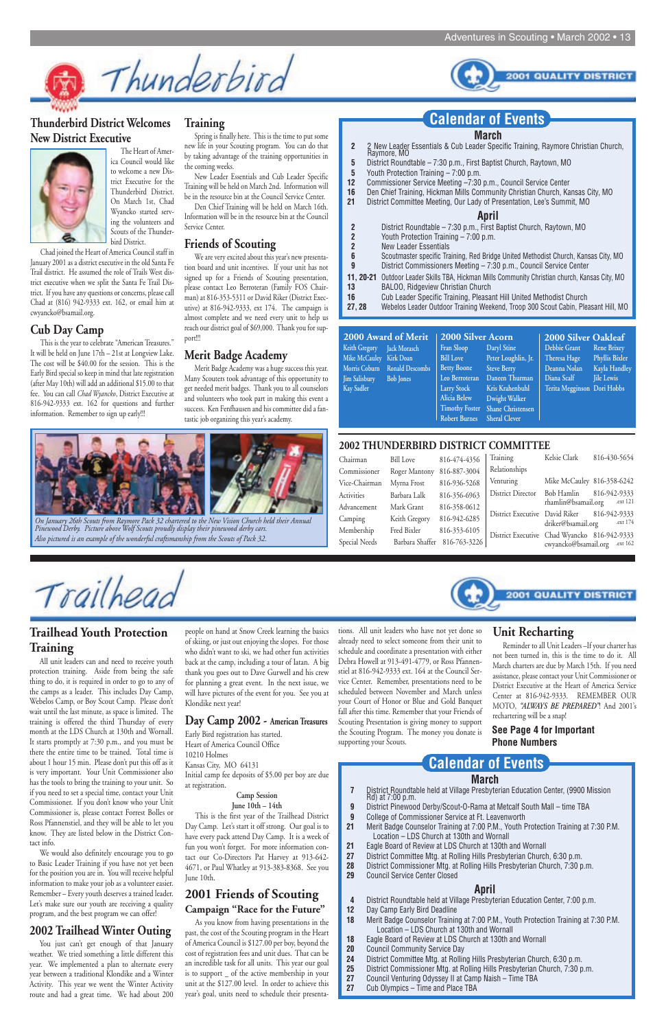**2001 QUALITY DISTRICT** 



#### **Thunderbird District Welcomes New District Executive**



The Heart of America Council would like to welcome a new District Executive for the Thunderbird District. On March 1st, Chad Wyancko started serving the volunteers and Scouts of the Thunderbird District.

Chad joined the Heart of America Council staff in January 2001 as a district executive in the old Santa Fe Trail district. He assumed the role of Trails West district executive when we split the Santa Fe Trail District. If you have any questions or concerns, please call Chad at (816) 942-9333 ext. 162, or email him at cwyancko@bsamail.org.

#### **Cub Day Camp**

This is the year to celebrate "American Treasures." It will be held on June 17th – 21st at Longview Lake. The cost will be \$40.00 for the session. This is the Early Bird special so keep in mind that late registration (after May 10th) will add an additional \$15.00 to that fee. You can call *Chad Wyancko*, District Executive at 816-942-9333 ext. 162 for questions and further information. Remember to sign up early!!!

#### **2002 THUNDERBIRD DISTRICT COMMITTEE**

| Chairman          | <b>Bill Love</b> | 816-474-4356                 | Training                                     | Kelsie Clark               | 816-430-5654             |
|-------------------|------------------|------------------------------|----------------------------------------------|----------------------------|--------------------------|
| Commissioner      | Roger Mantony    | 816-887-3004                 | Relationships                                |                            |                          |
| Vice-Chairman     | Myrna Frost      | 816-936-5268                 | Venturing                                    | Mike McCauley 816-358-6242 |                          |
| <b>Activities</b> | Barbara Lalk     | 816-356-6963                 | District Director                            | Bob Hamlin                 | 816-942-9333             |
| Advancement       | Mark Grant       | 816-358-0612                 |                                              | rhamlin@bsamail.org        | .ext 121                 |
| Camping           | Keith Gregory    | 816-942-6285                 | District Executive David Riker               | driker@bsamail.org         | 816-942-9333<br>.ext 174 |
| Membership        | Fred Bixler      | 816-353-6105                 | District Executive Chad Wyancko 816-942-9333 |                            |                          |
| Special Needs     |                  | Barbara Shaffer 816-763-3226 |                                              | cwyancko@bsamail.org       | ext 162.                 |



#### **March**

- **2** District Roundtable 7:30 p.m., First Baptist Church, Raytown, MO<br>**2** Youth Protection Training 7:00 p.m.
- **2** Youth Protection Training 7:00 p.m.<br>**2** New Leader Essentials
- **2** New Leader Essentials<br>**6** Scoutmaster specific Tra
- **6** Scoutmaster specific Training, Red Bridge United Methodist Church, Kansas City, MO<br>**9** District Commissioners Meeting 7:30 p.m. Council Service Center
- **9** District Commissioners Meeting 7:30 p.m., Council Service Center
- **11, 20-21** Outdoor Leader Skills TBA, Hickman Mills Community Christian church, Kansas City, MO **13** BALOO, Ridgeview Christian Church
- **16** Cub Leader Specific Training, Pleasant Hill United Methodist Church
- **27, 28** Webelos Leader Outdoor Training Weekend, Troop 300 Scout Cabin, Pleasant Hill, MO

- **7** District Roundtable held at Village Presbyterian Education Center, (9900 Mission Rd) at 7:00 p.m.
- **9** District Pinewood Derby/Scout-O-Rama at Metcalf South Mall time TBA
- **9** College of Commissioner Service at Ft. Leavenworth
- **21** Merit Badge Counselor Training at 7:00 P.M., Youth Protection Training at 7:30 P.M. Location – LDS Church at 130th and Wornall
- **21** Eagle Board of Review at LDS Church at 130th and Wornall
- **27** District Committee Mtg. at Rolling Hills Presbyterian Church, 6:30 p.m.
- **28** District Commissioner Mtg. at Rolling Hills Presbyterian Church, 7:30 p.m.
- **29** Council Service Center Closed

#### **April**

We are very excited about this year's new presentation board and unit incentives. If your unit has not signed up for a Friends of Scouting presentation, please contact Leo Berroteran (Family FOS Chairman) at 816-353-5311 or David Riker (District Executive) at 816-942-9333, ext 174. The campaign is almost complete and we need every unit to help us reach our district goal of \$69,000. Thank you for support!!!

- **4** District Roundtable held at Village Presbyterian Education Center, 7:00 p.m.
- **12** Day Camp Early Bird Deadline
- **18** Merit Badge Counselor Training at 7:00 P.M., Youth Protection Training at 7:30 P.M. Location – LDS Church at 130th and Wornall
- **18** Eagle Board of Review at LDS Church at 130th and Wornall
- **20** Council Community Service Day
- **24** District Committee Mtg. at Rolling Hills Presbyterian Church, 6:30 p.m.
- **25** District Commissioner Mtg. at Rolling Hills Presbyterian Church, 7:30 p.m.
- **27** Council Venturing Odyssey II at Camp Naish Time TBA
- **27** Cub Olympics Time and Place TBA

#### **Calendar of Events**

#### **March**

- **2** 2 New Leader Essentials & Cub Leader Specific Training, Raymore Christian Church,
- Raymore, MO **5** District Roundtable – 7:30 p.m., First Baptist Church, Raytown, MO
- **5** Youth Protection Training 7:00 p.m.
- **12** Commissioner Service Meeting –7:30 p.m., Council Service Center
- **16** Den Chief Training, Hickman Mills Community Christian Church, Kansas City, MO
- **21** District Committee Meeting, Our Lady of Presentation, Lee's Summit, MO

#### **April**

You just can't get enough of that January weather. We tried something a little different this year. We implemented a plan to alternate every year between a traditional Klondike and a Winter Activity. This year we went the Winter Activity route and had a great time. We had about 200

## **Training Calendar of Events**

Spring is finally here. This is the time to put some new life in your Scouting program. You can do that by taking advantage of the training opportunities in the coming weeks.

New Leader Essentials and Cub Leader Specific Training will be held on March 2nd. Information will be in the resource bin at the Council Service Center.

Den Chief Training will be held on March 16th. Information will be in the resource bin at the Council Service Center.

#### **Friends of Scouting**

#### **Merit Badge Academy**

Merit Badge Academy was a huge success this year. Many Scouters took advantage of this opportunity to get needed merit badges. Thank you to all counselors and volunteers who took part in making this event a success. Ken Fenfhausen and his committee did a fantastic job organizing this year's academy.



*On January 26th Scouts from Raymore Pack 32 chartered to the New Vision Church held their Annual Pinewood Derby. Picture above Wolf Scouts proudly display their pinewood derby cars. Also pictured is an example of the wonderful craftsmanship from the Scouts of Pack 32.*

#### **Trailhead Youth Protection Training**

Trailhead

All unit leaders can and need to receive youth protection training. Aside from being the safe thing to do, it is required in order to go to any of the camps as a leader. This includes Day Camp, Webelos Camp, or Boy Scout Camp. Please don't wait until the last minute, as space is limited. The training is offered the third Thursday of every month at the LDS Church at 130th and Wornall. It starts promptly at 7:30 p.m., and you must be there the entire time to be trained. Total time is about 1 hour 15 min. Please don't put this off as it is very important. Your Unit Commissioner also has the tools to bring the training to your unit. So if you need to set a special time, contact your Unit Commissioner. If you don't know who your Unit Commissioner is, please contact Forrest Bolles or Ross Pfannenstiel, and they will be able to let you know. They are listed below in the District Contact info. We would also definitely encourage you to go to Basic Leader Training if you have not yet been for the position you are in. You will receive helpful information to make your job as a volunteer easier. Remember – Every youth deserves a trained leader. Let's make sure our youth are receiving a quality program, and the best program we can offer!

#### **2002 Trailhead Winter Outing**

people on hand at Snow Creek learning the basics of skiing, or just out enjoying the slopes. For those who didn't want to ski, we had other fun activities back at the camp, including a tour of Iatan. A big thank you goes out to Dave Gurwell and his crew for planning a great event. In the next issue, we will have pictures of the event for you. See you at Klondike next year!

#### **Day Camp 2002 - American Treasures**

Early Bird registration has started. Heart of America Council Office 10210 Holmes

Kansas City, MO 64131

Initial camp fee deposits of \$5.00 per boy are due at registration.

#### **Camp Session June 10th – 14th**

This is the first year of the Trailhead District Day Camp. Let's start it off strong. Our goal is to have every pack attend Day Camp. It is a week of fun you won't forget. For more information contact our Co-Directors Pat Harvey at 913-642- 4671, or Paul Whatley at 913-383-8368. See you June 10th.

#### **2001 Friends of Scouting Campaign "Race for the Future"**

As you know from having presentations in the past, the cost of the Scouting program in the Heart of America Council is \$127.00 per boy, beyond the cost of registration fees and unit dues. That can be an incredible task for all units. This year our goal is to support \_ of the active membership in your unit at the \$127.00 level. In order to achieve this year's goal, units need to schedule their presenta-

tions. All unit leaders who have not yet done so already need to select someone from their unit to schedule and coordinate a presentation with either Debra Howell at 913-491-4779, or Ross Pfannenstiel at 816-942-9333 ext. 164 at the Council Service Center. Remember, presentations need to be scheduled between November and March unless your Court of Honor or Blue and Gold Banquet fall after this time. Remember that your Friends of Scouting Presentation is giving money to support the Scouting Program. The money you donate is supporting your Scouts.

#### **Unit Recharting**

Reminder to all Unit Leaders –If your charter has not been turned in, this is the time to do it. All March charters are due by March 15th. If you need assistance, please contact your Unit Commissioner or District Executive at the Heart of America Service Center at 816-942-9333. REMEMBER OUR MOTO, *"ALWAYS BE PREPARED"*! And 2001's rechartering will be a snap!

#### **2000 Award of Merit Keith Gregory Mike McCauley Morris Coburn Ronald Descombs Jim Salisbury Kay Sadler Jack Morasch Kirk Doan Bob Jones Fran Sloop**

**2000 Silver Acorn**

**Daryl Stine**

**Bill Love Betty Boone Leo Berroteran Larry Stock Alicia Belew Timothy Foster Robert Burnes Peter Loughlin, Jr. Steve Berry Daneen Thurman Kris Krahenbuhl Dwight Walker Shane Christensen Sheral Clever**

#### **2000 Silver Oakleaf Debbie Grant Theresa Hage Deanna Nolan Diana Scalf Terita Megginson Dori Hobbs Rene Brixey Phyllis Bixler Kayla Handley Jile Lewis**

#### **See Page 4 for Important Phone Numbers**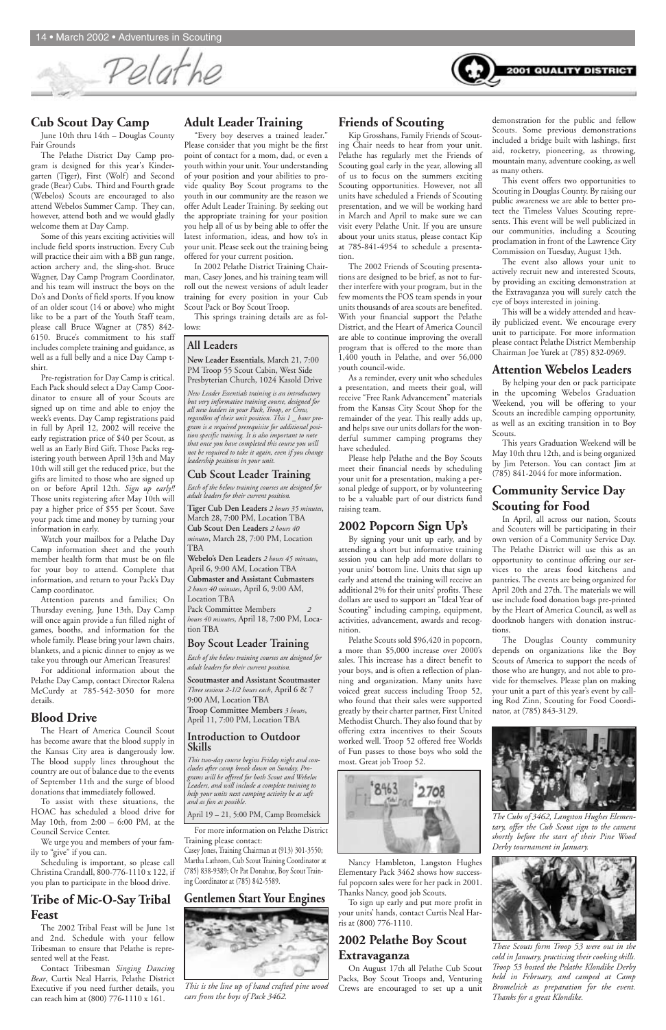# Pelathe



#### **Cub Scout Day Camp**

June 10th thru 14th – Douglas County Fair Grounds

The Pelathe District Day Camp program is designed for this year's Kindergarten (Tiger), First (Wolf) and Second grade (Bear) Cubs. Third and Fourth grade (Webelos) Scouts are encouraged to also attend Webelos Summer Camp. They can, however, attend both and we would gladly welcome them at Day Camp.

Some of this years exciting activities will include field sports instruction. Every Cub will practice their aim with a BB gun range, action archery and, the sling-shot. Bruce Wagner, Day Camp Program Coordinator, and his team will instruct the boys on the Do's and Don'ts of field sports. If you know of an older scout (14 or above) who might like to be a part of the Youth Staff team, please call Bruce Wagner at (785) 842- 6150. Bruce's commitment to his staff includes complete training and guidance, as well as a full belly and a nice Day Camp tshirt.

Pre-registration for Day Camp is critical. Each Pack should select a Day Camp Coordinator to ensure all of your Scouts are signed up on time and able to enjoy the week's events. Day Camp registrations paid in full by April 12, 2002 will receive the early registration price of \$40 per Scout, as well as an Early Bird Gift. Those Packs registering youth between April 13th and May 10th will still get the reduced price, but the gifts are limited to those who are signed up on or before April 12th. *Sign up early!!* Those units registering after May 10th will pay a higher price of \$55 per Scout. Save your pack time and money by turning your information in early.

Watch your mailbox for a Pelathe Day Camp information sheet and the youth member health form that must be on file for your boy to attend. Complete that information, and return to your Pack's Day Camp coordinator.

Attention parents and families; On Thursday evening, June 13th, Day Camp will once again provide a fun filled night of games, booths, and information for the whole family. Please bring your lawn chairs, blankets, and a picnic dinner to enjoy as we take you through our American Treasures!

For additional information about the Pelathe Day Camp, contact Director Ralena McCurdy at 785-542-3050 for more details.

#### **Blood Drive**

The Heart of America Council Scout has become aware that the blood supply in the Kansas City area is dangerously low. The blood supply lines throughout the country are out of balance due to the events of September 11th and the surge of blood donations that immediately followed. To assist with these situations, the HOAC has scheduled a blood drive for May 10th, from 2:00 – 6:00 PM, at the Council Service Center.

Pack Committee Members *hours 40 minutes*, April 18, 7:00 PM, Location TBA

We urge you and members of your family to "give" if you can.

Scheduling is important, so please call Christina Crandall, 800-776-1110 x 122, if you plan to participate in the blood drive.

#### **Tribe of Mic-O-Say Tribal Feast**

The 2002 Tribal Feast will be June 1st and 2nd. Schedule with your fellow Tribesman to ensure that Pelathe is represented well at the Feast.

Contact Tribesman *Singing Dancing Bear*, Curtis Neal Harris, Pelathe District Executive if you need further details, you can reach him at (800) 776-1110 x 161.

#### **Adult Leader Training**

"Every boy deserves a trained leader." Please consider that you might be the first point of contact for a mom, dad, or even a youth within your unit. Your understanding of your position and your abilities to provide quality Boy Scout programs to the youth in our community are the reason we offer Adult Leader Training. By seeking out the appropriate training for your position you help all of us by being able to offer the latest information, ideas, and how to's in your unit. Please seek out the training being offered for your current position.

In 2002 Pelathe District Training Chairman, Casey Jones, and his training team will roll out the newest versions of adult leader training for every position in your Cub Scout Pack or Boy Scout Troop.

This springs training details are as follows:

#### **All Leaders**

**New Leader Essentials**, March 21, 7:00 PM Troop 55 Scout Cabin, West Side Presbyterian Church, 1024 Kasold Drive

*New Leader Essentials training is an introductory but very informative training course, designed for all new leaders in your Pack, Troop, or Crew, regardless of their unit position. This 1 \_ hour program is a required prerequisite for additional position specific training. It is also important to note that once you have completed this course you will not be required to take it again, even if you change leadership positions in your unit.*

#### **Cub Scout Leader Training**

*Each of the below training courses are designed for adult leaders for their current position.*

**Tiger Cub Den Leaders** *2 hours 35 minutes*, March 28, 7:00 PM, Location TBA **Cub Scout Den Leaders** *2 hours 40 minutes*, March 28, 7:00 PM, Location TBA

**Webelo's Den Leaders** *2 hours 45 minutes*, April 6, 9:00 AM, Location TBA **Cubmaster and Assistant Cubmasters** *2 hours 40 minutes*, April 6, 9:00 AM, Location TBA

#### **Boy Scout Leader Training**

*Each of the below training courses are designed for adult leaders for their current position.*

**Scoutmaster and Assistant Scoutmaster** *Three sessions 2-1/2 hours each*, April 6 & 7 9:00 AM, Location TBA **Troop Committee Members** *3 hours*, April 11, 7:00 PM, Location TBA

**Introduction to Outdoor Skills**

*This two-day course begins Friday night and concludes after camp break down on Sunday. Programs will be offered for both Scout and Webelos Leaders, and will include a complete training to help your units next camping activity be as safe and as fun as possible.*

April 19 – 21, 5:00 PM, Camp Bromelsick

For more information on Pelathe District Training please contact:

Casey Jones, Training Chairman at (913) 301-3550; Martha Lathrom, Cub Scout Training Coordinator at (785) 838-9389; Or Pat Donahue, Boy Scout Training Coordinator at (785) 842-5589.

#### **Gentlemen Start Your Engines**



#### **Friends of Scouting**

Kip Grosshans, Family Friends of Scouting Chair needs to hear from your unit. Pelathe has regularly met the Friends of Scouting goal early in the year, allowing all of us to focus on the summers exciting Scouting opportunities. However, not all units have scheduled a Friends of Scouting presentation, and we will be working hard in March and April to make sure we can visit every Pelathe Unit. If you are unsure about your units status, please contact Kip at 785-841-4954 to schedule a presentation.

The 2002 Friends of Scouting presentations are designed to be brief, as not to further interfere with your program, but in the few moments the FOS team spends in your units thousands of area scouts are benefited. With your financial support the Pelathe District, and the Heart of America Council are able to continue improving the overall program that is offered to the more than 1,400 youth in Pelathe, and over 56,000 youth council-wide.

As a reminder, every unit who schedules a presentation, and meets their goal, will receive "Free Rank Advancement" materials from the Kansas City Scout Shop for the remainder of the year. This really adds up, and helps save our units dollars for the wonderful summer camping programs they have scheduled.

Please help Pelathe and the Boy Scouts meet their financial needs by scheduling your unit for a presentation, making a personal pledge of support, or by volunteering to be a valuable part of our districts fund raising team.

#### **2002 Popcorn Sign Up's**

By signing your unit up early, and by attending a short but informative training session you can help add more dollars to your units' bottom line. Units that sign up early and attend the training will receive an additional 2% for their units' profits. These dollars are used to support an "Ideal Year of Scouting" including camping, equipment, activities, advancement, awards and recognition.

Pelathe Scouts sold \$96,420 in popcorn, a more than \$5,000 increase over 2000's sales. This increase has a direct benefit to your boys, and is often a reflection of planning and organization. Many units have voiced great success including Troop 52, who found that their sales were supported greatly by their charter partner, First United Methodist Church. They also found that by offering extra incentives to their Scouts worked well. Troop 52 offered free Worlds of Fun passes to those boys who sold the

most. Great job Troop 52.



Nancy Hambleton, Langston Hughes Elementary Pack 3462 shows how successful popcorn sales were for her pack in 2001. Thanks Nancy, good job Scouts.

To sign up early and put more profit in your units' hands, contact Curtis Neal Harris at (800) 776-1110.

#### **2002 Pelathe Boy Scout Extravaganza**

On August 17th all Pelathe Cub Scout Packs, Boy Scout Troops and, Venturing Crews are encouraged to set up a unit

demonstration for the public and fellow Scouts. Some previous demonstrations included a bridge built with lashings, first aid, rocketry, pioneering, as throwing, mountain many, adventure cooking, as well as many others.

This event offers two opportunities to Scouting in Douglas County. By raising our public awareness we are able to better protect the Timeless Values Scouting represents. This event will be well publicized in our communities, including a Scouting proclamation in front of the Lawrence City Commission on Tuesday, August 13th.

The event also allows your unit to actively recruit new and interested Scouts, by providing an exciting demonstration at the Extravaganza you will surely catch the eye of boys interested in joining.

This will be a widely attended and heavily publicized event. We encourage every unit to participate. For more information please contact Pelathe District Membership Chairman Joe Yurek at (785) 832-0969.

#### **Attention Webelos Leaders**

By helping your den or pack participate in the upcoming Webelos Graduation Weekend, you will be offering to your Scouts an incredible camping opportunity, as well as an exciting transition in to Boy Scouts.

This years Graduation Weekend will be May 10th thru 12th, and is being organized by Jim Peterson. You can contact Jim at (785) 841-2044 for more information.

#### **Community Service Day Scouting for Food**

In April, all across our nation, Scouts and Scouters will be participating in their own version of a Community Service Day. The Pelathe District will use this as an opportunity to continue offering our services to the areas food kitchens and pantries. The events are being organized for April 20th and 27th. The materials we will use include food donation bags pre-printed by the Heart of America Council, as well as doorknob hangers with donation instructions.

The Douglas County community depends on organizations like the Boy Scouts of America to support the needs of those who are hungry, and not able to provide for themselves. Please plan on making your unit a part of this year's event by calling Rod Zinn, Scouting for Food Coordinator, at (785) 843-3129.



*This is the line up of hand crafted pine wood cars from the boys of Pack 3462.*

*The Cubs of 3462, Langston Hughes Elementary, offer the Cub Scout sign to the camera shortly before the start of their Pine Wood Derby tournament in January.*



*These Scouts form Troop 53 were out in the cold in January, practicing their cooking skills. Troop 53 hosted the Pelathe Klondike Derby held in February, and camped at Camp Bromelsick as preparation for the event. Thanks for a great Klondike.*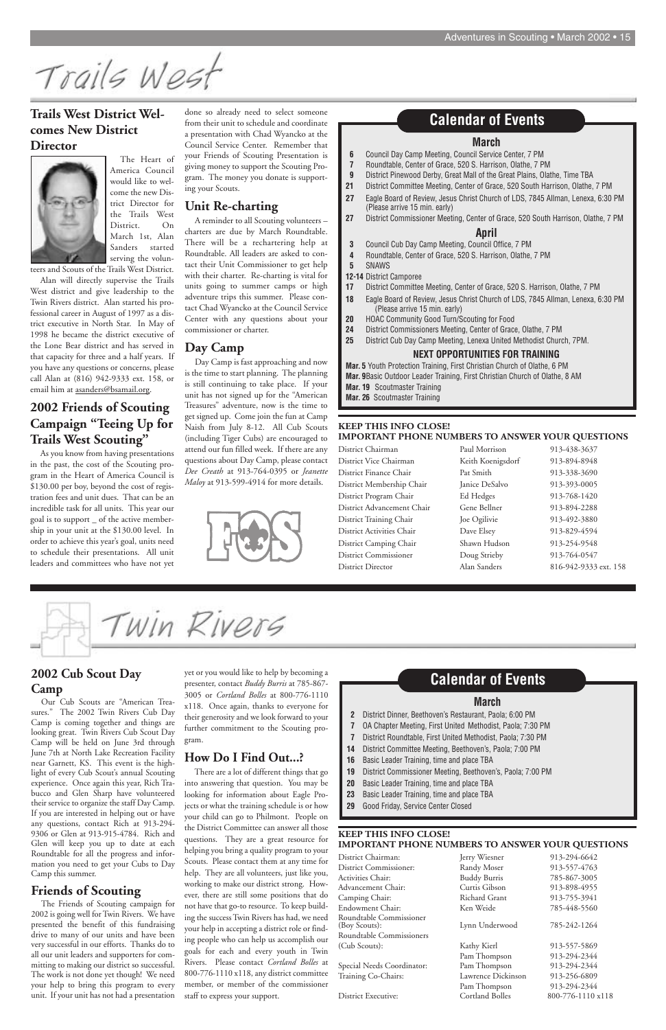Trails West

#### **2002 Cub Scout Day Camp**

Our Cub Scouts are "American Treasures." The 2002 Twin Rivers Cub Day Camp is coming together and things are looking great. Twin Rivers Cub Scout Day Camp will be held on June 3rd through June 7th at North Lake Recreation Facility near Garnett, KS. This event is the highlight of every Cub Scout's annual Scouting experience. Once again this year, Rich Trabucco and Glen Sharp have volunteered their service to organize the staff Day Camp. If you are interested in helping out or have any questions, contact Rich at 913-294- 9306 or Glen at 913-915-4784. Rich and Glen will keep you up to date at each Roundtable for all the progress and information you need to get your Cubs to Day Camp this summer.

#### **Friends of Scouting**

The Friends of Scouting campaign for 2002 is going well for Twin Rivers. We have presented the benefit of this fundraising drive to many of our units and have been very successful in our efforts. Thanks do to all our unit leaders and supporters for committing to making our district so successful. The work is not done yet though! We need your help to bring this program to every unit. If your unit has not had a presentation

yet or you would like to help by becoming a presenter, contact *Buddy Burris* at 785-867- 3005 or *Cortland Bolles* at 800-776-1110 x118. Once again, thanks to everyone for their generosity and we look forward to your further commitment to the Scouting program.

**How Do I Find Out...?**

There are a lot of different things that go into answering that question. You may be looking for information about Eagle Projects or what the training schedule is or how your child can go to Philmont. People on the District Committee can answer all those questions. They are a great resource for helping you bring a quality program to your Scouts. Please contact them at any time for help. They are all volunteers, just like you, working to make our district strong. However, there are still some positions that do not have that go-to resource. To keep building the success Twin Rivers has had, we need your help in accepting a district role or finding people who can help us accomplish our goals for each and every youth in Twin Rivers. Please contact *Cortland Bolles* at 800-776-1110 x118, any district committee member, or member of the commissioner staff to express your support.

#### **Trails West District Welcomes New District Director**



The Heart of America Council would like to welcome the new District Director for the Trails West District. On March 1st, Alan Sanders started serving the volun-

teers and Scouts of the Trails West District.

Alan will directly supervise the Trails West district and give leadership to the Twin Rivers district. Alan started his professional career in August of 1997 as a district executive in North Star. In May of 1998 he became the district executive of the Lone Bear district and has served in that capacity for three and a half years. If you have any questions or concerns, please call Alan at (816) 942-9333 ext. 158, or email him at asanders@bsamail.org.

#### **2002 Friends of Scouting Campaign "Teeing Up for Trails West Scouting"**

As you know from having presentations in the past, the cost of the Scouting program in the Heart of America Council is \$130.00 per boy, beyond the cost of registration fees and unit dues. That can be an incredible task for all units. This year our goal is to support \_ of the active membership in your unit at the \$130.00 level. In order to achieve this year's goal, units need to schedule their presentations. All unit leaders and committees who have not yet

done so already need to select someone from their unit to schedule and coordinate a presentation with Chad Wyancko at the Council Service Center. Remember that your Friends of Scouting Presentation is giving money to support the Scouting Program. The money you donate is supporting your Scouts.

#### **Unit Re-charting**

A reminder to all Scouting volunteers – charters are due by March Roundtable. There will be a rechartering help at Roundtable. All leaders are asked to contact their Unit Commissioner to get help with their charter. Re-charting is vital for units going to summer camps or high adventure trips this summer. Please contact Chad Wyancko at the Council Service Center with any questions about your commissioner or charter.

#### **Day Camp**

Day Camp is fast approaching and now is the time to start planning. The planning is still continuing to take place. If your unit has not signed up for the "American Treasures" adventure, now is the time to get signed up. Come join the fun at Camp Naish from July 8-12. All Cub Scouts (including Tiger Cubs) are encouraged to attend our fun filled week. If there are any questions about Day Camp, please contact *Dee Creath* at 913-764-0395 or *Jeanette Maloy* at 913-599-4914 for more details.



#### **March**

- **6** Council Day Camp Meeting, Council Service Center, 7 PM
- **7** Roundtable, Center of Grace, 520 S. Harrison, Olathe, 7 PM
- **9** District Pinewood Derby, Great Mall of the Great Plains, Olathe, Time TBA
- **21** District Committee Meeting, Center of Grace, 520 South Harrison, Olathe, 7 PM
- **27** Eagle Board of Review, Jesus Christ Church of LDS, 7845 Allman, Lenexa, 6:30 PM (Please arrive 15 min. early)
- **27** District Commissioner Meeting, Center of Grace, 520 South Harrison, Olathe, 7 PM

#### **April**

- **3** Council Cub Day Camp Meeting, Council Office, 7 PM
- **4** Roundtable, Center of Grace, 520 S. Harrison, Olathe, 7 PM
- **5** SNAWS
- **12-14** District Camporee
- **17** District Committee Meeting, Center of Grace, 520 S. Harrison, Olathe, 7 PM
- **18** Eagle Board of Review, Jesus Christ Church of LDS, 7845 Allman, Lenexa, 6:30 PM (Please arrive 15 min. early)
- **20** HOAC Community Good Turn/Scouting for Food
- **24** District Commissioners Meeting, Center of Grace, Olathe, 7 PM
- **25** District Cub Day Camp Meeting, Lenexa United Methodist Church, 7PM.

#### **NEXT OPPORTUNITIES FOR TRAINING**

**Mar. 5** Youth Protection Training, First Christian Church of Olathe, 6 PM **Mar. 9**Basic Outdoor Leader Training, First Christian Church of Olathe, 8 AM **Mar. 19** Scoutmaster Training

**Mar. 26** Scoutmaster Training

#### **Calendar of Events**

#### **March**

- **2** District Dinner, Beethoven's Restaurant, Paola; 6:00 PM
- **7** OA Chapter Meeting, First United Methodist, Paola; 7:30 PM
- **7** District Roundtable, First United Methodist, Paola; 7:30 PM
- **14** District Committee Meeting, Beethoven's, Paola; 7:00 PM

- **16** Basic Leader Training, time and place TBA
- **19** District Commissioner Meeting, Beethoven's, Paola; 7:00 PM
- **20** Basic Leader Training, time and place TBA
- **23** Basic Leader Training, time and place TBA
- **29** Good Friday, Service Center Closed

#### **Calendar of Events**

#### **KEEP THIS INFO CLOSE! IMPORTANT PHONE NUMBERS TO ANSWER YOUR QUESTIONS**

| District Chairman          | Paul Morrison     | 913-438-3637          |
|----------------------------|-------------------|-----------------------|
| District Vice Chairman     | Keith Koenigsdorf | 913-894-8948          |
| District Finance Chair     | Pat Smith         | 913-338-3690          |
| District Membership Chair  | Janice DeSalvo    | 913-393-0005          |
| District Program Chair     | Ed Hedges         | 913-768-1420          |
| District Advancement Chair | Gene Bellner      | 913-894-2288          |
| District Training Chair    | Joe Ogilivie      | 913-492-3880          |
| District Activities Chair  | Dave Elsey        | 913-829-4594          |
| District Camping Chair     | Shawn Hudson      | 913-254-9548          |
| District Commissioner      | Doug Strieby      | 913-764-0547          |
| District Director          | Alan Sanders      | 816-942-9333 ext. 158 |

Twin Rivers

#### **KEEP THIS INFO CLOSE! IMPORTANT PHONE NUMBERS TO ANSWER YOUR QUESTIONS**

| Jerry Wiesner          | 913-294-6642      |
|------------------------|-------------------|
| Randy Moser            | 913-557-4763      |
| <b>Buddy Burris</b>    | 785-867-3005      |
| Curtis Gibson          | 913-898-4955      |
| Richard Grant          | 913-755-3941      |
| Ken Weide              | 785-448-5560      |
| Lynn Underwood         | 785-242-1264      |
|                        |                   |
| Kathy Kierl            | 913-557-5869      |
| Pam Thompson           | 913-294-2344      |
| Pam Thompson           | 913-294-2344      |
| Lawrence Dickinson     | 913-256-6809      |
| Pam Thompson           | 913-294-2344      |
| <b>Cortland Bolles</b> | 800-776-1110 x118 |
|                        |                   |